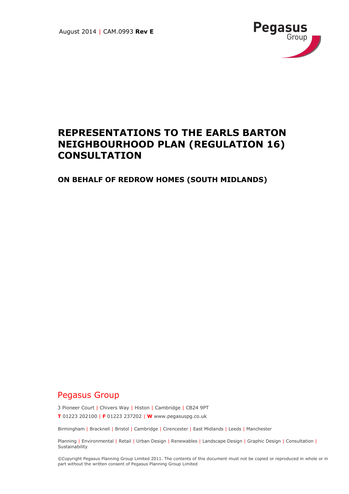

# **REPRESENTATIONS TO THE EARLS BARTON NEIGHBOURHOOD PLAN (REGULATION 16) CONSULTATION**

**ON BEHALF OF REDROW HOMES (SOUTH MIDLANDS)**

## Pegasus Group

3 Pioneer Court | Chivers Way | Histon | Cambridge | CB24 9PT

**T** 01223 202100 | **F** 01223 237202 | **W** www.pegasuspg.co.uk

Birmingham | Bracknell | Bristol | Cambridge | Cirencester | East Midlands | Leeds | Manchester

Planning | Environmental | Retail | Urban Design | Renewables | Landscape Design | Graphic Design | Consultation | **Sustainability** 

©Copyright Pegasus Planning Group Limited 2011. The contents of this document must not be copied or reproduced in whole or in part without the written consent of Pegasus Planning Group Limited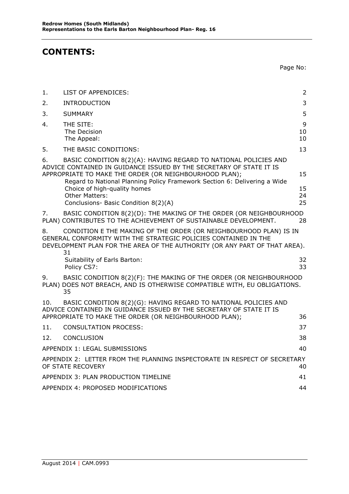## **CONTENTS:**

Page No:

| 1.  | LIST OF APPENDICES:                                                                                                                                                                                                                                                                                                                                                            | $\overline{2}$       |  |  |  |
|-----|--------------------------------------------------------------------------------------------------------------------------------------------------------------------------------------------------------------------------------------------------------------------------------------------------------------------------------------------------------------------------------|----------------------|--|--|--|
| 2.  | <b>INTRODUCTION</b>                                                                                                                                                                                                                                                                                                                                                            | 3                    |  |  |  |
| 3.  | <b>SUMMARY</b>                                                                                                                                                                                                                                                                                                                                                                 | 5                    |  |  |  |
| 4.  | THE SITE:<br>The Decision<br>The Appeal:                                                                                                                                                                                                                                                                                                                                       | 9<br>10<br>10        |  |  |  |
| 5.  | THE BASIC CONDITIONS:                                                                                                                                                                                                                                                                                                                                                          | 13                   |  |  |  |
| 6.  | BASIC CONDITION 8(2)(A): HAVING REGARD TO NATIONAL POLICIES AND<br>ADVICE CONTAINED IN GUIDANCE ISSUED BY THE SECRETARY OF STATE IT IS<br>APPROPRIATE TO MAKE THE ORDER (OR NEIGHBOURHOOD PLAN);<br>Regard to National Planning Policy Framework Section 6: Delivering a Wide<br>Choice of high-quality homes<br><b>Other Matters:</b><br>Conclusions- Basic Condition 8(2)(A) | 15<br>15<br>24<br>25 |  |  |  |
| 7.  | BASIC CONDITION 8(2)(D): THE MAKING OF THE ORDER (OR NEIGHBOURHOOD<br>PLAN) CONTRIBUTES TO THE ACHIEVEMENT OF SUSTAINABLE DEVELOPMENT.                                                                                                                                                                                                                                         | 28                   |  |  |  |
| 8.  | CONDITION E THE MAKING OF THE ORDER (OR NEIGHBOURHOOD PLAN) IS IN<br>GENERAL CONFORMITY WITH THE STRATEGIC POLICIES CONTAINED IN THE<br>DEVELOPMENT PLAN FOR THE AREA OF THE AUTHORITY (OR ANY PART OF THAT AREA).<br>31                                                                                                                                                       |                      |  |  |  |
|     | Suitability of Earls Barton:<br>Policy CS7:                                                                                                                                                                                                                                                                                                                                    | 32<br>33             |  |  |  |
| 9.  | BASIC CONDITION 8(2)(F): THE MAKING OF THE ORDER (OR NEIGHBOURHOOD<br>PLAN) DOES NOT BREACH, AND IS OTHERWISE COMPATIBLE WITH, EU OBLIGATIONS.<br>35                                                                                                                                                                                                                           |                      |  |  |  |
| 10. | BASIC CONDITION 8(2)(G): HAVING REGARD TO NATIONAL POLICIES AND<br>ADVICE CONTAINED IN GUIDANCE ISSUED BY THE SECRETARY OF STATE IT IS<br>APPROPRIATE TO MAKE THE ORDER (OR NEIGHBOURHOOD PLAN);                                                                                                                                                                               | 36                   |  |  |  |
| 11. | <b>CONSULTATION PROCESS:</b>                                                                                                                                                                                                                                                                                                                                                   | 37                   |  |  |  |
| 12. | CONCLUSION                                                                                                                                                                                                                                                                                                                                                                     | 38                   |  |  |  |
|     | APPENDIX 1: LEGAL SUBMISSIONS                                                                                                                                                                                                                                                                                                                                                  | 40                   |  |  |  |
|     | APPENDIX 2: LETTER FROM THE PLANNING INSPECTORATE IN RESPECT OF SECRETARY<br>OF STATE RECOVERY                                                                                                                                                                                                                                                                                 | 40                   |  |  |  |
|     | APPENDIX 3: PLAN PRODUCTION TIMELINE                                                                                                                                                                                                                                                                                                                                           | 41                   |  |  |  |
|     | APPENDIX 4: PROPOSED MODIFICATIONS<br>44                                                                                                                                                                                                                                                                                                                                       |                      |  |  |  |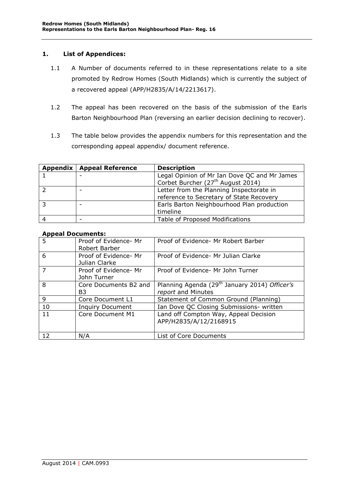### <span id="page-2-0"></span>**1. List of Appendices:**

- 1.1 A Number of documents referred to in these representations relate to a site promoted by Redrow Homes (South Midlands) which is currently the subject of a recovered appeal (APP/H2835/A/14/2213617).
- 1.2 The appeal has been recovered on the basis of the submission of the Earls Barton Neighbourhood Plan (reversing an earlier decision declining to recover).
- 1.3 The table below provides the appendix numbers for this representation and the corresponding appeal appendix/ document reference.

| Appendix   Appeal Reference | <b>Description</b>                            |
|-----------------------------|-----------------------------------------------|
|                             | Legal Opinion of Mr Ian Dove QC and Mr James  |
|                             | Corbet Burcher (27 <sup>th</sup> August 2014) |
|                             | Letter from the Planning Inspectorate in      |
|                             | reference to Secretary of State Recovery      |
|                             | Earls Barton Neighbourhood Plan production    |
|                             | timeline                                      |
|                             | Table of Proposed Modifications               |

#### **Appeal Documents:**

| .              |                                        |                                                           |
|----------------|----------------------------------------|-----------------------------------------------------------|
| $\overline{5}$ | Proof of Evidence- Mr<br>Robert Barber | Proof of Evidence- Mr Robert Barber                       |
|                |                                        |                                                           |
| 6              | Proof of Evidence- Mr                  | Proof of Evidence- Mr Julian Clarke                       |
|                | Julian Clarke                          |                                                           |
|                | Proof of Evidence- Mr                  | Proof of Evidence- Mr John Turner                         |
|                | John Turner                            |                                                           |
| 8              | Core Documents B2 and                  | Planning Agenda (29 <sup>th</sup> January 2014) Officer's |
|                | B3                                     | report and Minutes                                        |
| 9              | Core Document L1                       | Statement of Common Ground (Planning)                     |
| 10             | <b>Inquiry Document</b>                | Ian Dove QC Closing Submissions- written                  |
| 11             | Core Document M1                       | Land off Compton Way, Appeal Decision                     |
|                |                                        | APP/H2835/A/12/2168915                                    |
|                |                                        |                                                           |
| 12             | N/A                                    | List of Core Documents                                    |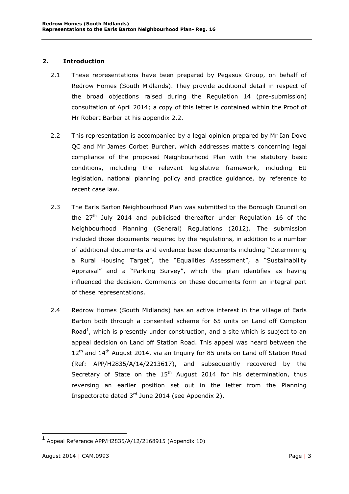### <span id="page-3-0"></span>**2. Introduction**

- 2.1 These representations have been prepared by Pegasus Group, on behalf of Redrow Homes (South Midlands). They provide additional detail in respect of the broad objections raised during the Regulation 14 (pre-submission) consultation of April 2014; a copy of this letter is contained within the Proof of Mr Robert Barber at his appendix 2.2.
- 2.2 This representation is accompanied by a legal opinion prepared by Mr Ian Dove QC and Mr James Corbet Burcher, which addresses matters concerning legal compliance of the proposed Neighbourhood Plan with the statutory basic conditions, including the relevant legislative framework, including EU legislation, national planning policy and practice guidance, by reference to recent case law.
- 2.3 The Earls Barton Neighbourhood Plan was submitted to the Borough Council on the  $27<sup>th</sup>$  July 2014 and publicised thereafter under Regulation 16 of the Neighbourhood Planning (General) Regulations (2012). The submission included those documents required by the regulations, in addition to a number of additional documents and evidence base documents including "Determining a Rural Housing Target", the "Equalities Assessment", a "Sustainability Appraisal" and a "Parking Survey", which the plan identifies as having influenced the decision. Comments on these documents form an integral part of these representations.
- 2.4 Redrow Homes (South Midlands) has an active interest in the village of Earls Barton both through a consented scheme for 65 units on Land off Compton Road<sup>1</sup>, which is presently under construction, and a site which is subject to an appeal decision on Land off Station Road. This appeal was heard between the  $12<sup>th</sup>$  and  $14<sup>th</sup>$  August 2014, via an Inquiry for 85 units on Land off Station Road (Ref: APP/H2835/A/14/2213617), and subsequently recovered by the Secretary of State on the  $15<sup>th</sup>$  August 2014 for his determination, thus reversing an earlier position set out in the letter from the Planning Inspectorate dated  $3<sup>rd</sup>$  June 2014 (see Appendix 2).

 $1$  Appeal Reference APP/H2835/A/12/2168915 (Appendix 10)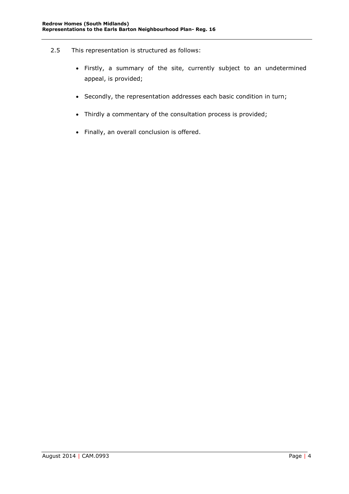- 2.5 This representation is structured as follows:
	- Firstly, a summary of the site, currently subject to an undetermined appeal, is provided;
	- Secondly, the representation addresses each basic condition in turn;
	- Thirdly a commentary of the consultation process is provided;
	- Finally, an overall conclusion is offered.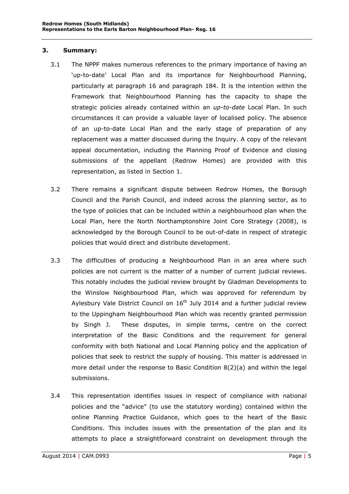### <span id="page-5-0"></span>**3. Summary:**

- 3.1 The NPPF makes numerous references to the primary importance of having an 'up-to-date' Local Plan and its importance for Neighbourhood Planning, particularly at paragraph 16 and paragraph 184. It is the intention within the Framework that Neighbourhood Planning has the capacity to shape the strategic policies already contained within an *up-to-date* Local Plan. In such circumstances it can provide a valuable layer of localised policy. The absence of an up-to-date Local Plan and the early stage of preparation of any replacement was a matter discussed during the Inquiry. A copy of the relevant appeal documentation, including the Planning Proof of Evidence and closing submissions of the appellant (Redrow Homes) are provided with this representation, as listed in Section 1.
- 3.2 There remains a significant dispute between Redrow Homes, the Borough Council and the Parish Council, and indeed across the planning sector, as to the type of policies that can be included within a neighbourhood plan when the Local Plan, here the North Northamptonshire Joint Core Strategy (2008), is acknowledged by the Borough Council to be out-of-date in respect of strategic policies that would direct and distribute development.
- 3.3 The difficulties of producing a Neighbourhood Plan in an area where such policies are not current is the matter of a number of current judicial reviews. This notably includes the judicial review brought by Gladman Developments to the Winslow Neighbourhood Plan, which was approved for referendum by Aylesbury Vale District Council on  $16<sup>th</sup>$  July 2014 and a further judicial review to the Uppingham Neighbourhood Plan which was recently granted permission by Singh J. These disputes, in simple terms, centre on the correct interpretation of the Basic Conditions and the requirement for general conformity with both National and Local Planning policy and the application of policies that seek to restrict the supply of housing. This matter is addressed in more detail under the response to Basic Condition 8(2)(a) and within the legal submissions.
- 3.4 This representation identifies issues in respect of compliance with national policies and the "advice" (to use the statutory wording) contained within the online Planning Practice Guidance, which goes to the heart of the Basic Conditions. This includes issues with the presentation of the plan and its attempts to place a straightforward constraint on development through the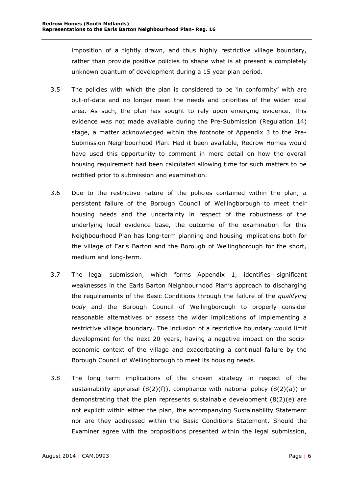imposition of a tightly drawn, and thus highly restrictive village boundary, rather than provide positive policies to shape what is at present a completely unknown quantum of development during a 15 year plan period.

- 3.5 The policies with which the plan is considered to be 'in conformity' with are out-of-date and no longer meet the needs and priorities of the wider local area. As such, the plan has sought to rely upon emerging evidence. This evidence was not made available during the Pre-Submission (Regulation 14) stage, a matter acknowledged within the footnote of Appendix 3 to the Pre-Submission Neighbourhood Plan. Had it been available, Redrow Homes would have used this opportunity to comment in more detail on how the overall housing requirement had been calculated allowing time for such matters to be rectified prior to submission and examination.
- 3.6 Due to the restrictive nature of the policies contained within the plan, a persistent failure of the Borough Council of Wellingborough to meet their housing needs and the uncertainty in respect of the robustness of the underlying local evidence base, the outcome of the examination for this Neighbourhood Plan has long-term planning and housing implications both for the village of Earls Barton and the Borough of Wellingborough for the short, medium and long-term.
- 3.7 The legal submission, which forms Appendix 1, identifies significant weaknesses in the Earls Barton Neighbourhood Plan's approach to discharging the requirements of the Basic Conditions through the failure of the *qualifying body* and the Borough Council of Wellingborough to properly consider reasonable alternatives or assess the wider implications of implementing a restrictive village boundary. The inclusion of a restrictive boundary would limit development for the next 20 years, having a negative impact on the socioeconomic context of the village and exacerbating a continual failure by the Borough Council of Wellingborough to meet its housing needs.
- 3.8 The long term implications of the chosen strategy in respect of the sustainability appraisal  $(8(2)(f))$ , compliance with national policy  $(8(2)(a))$  or demonstrating that the plan represents sustainable development  $(8(2)(e)$  are not explicit within either the plan, the accompanying Sustainability Statement nor are they addressed within the Basic Conditions Statement. Should the Examiner agree with the propositions presented within the legal submission,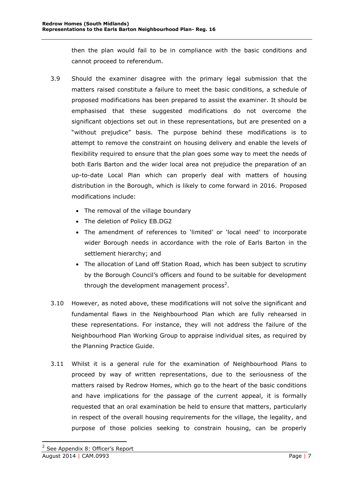then the plan would fail to be in compliance with the basic conditions and cannot proceed to referendum.

- 3.9 Should the examiner disagree with the primary legal submission that the matters raised constitute a failure to meet the basic conditions, a schedule of proposed modifications has been prepared to assist the examiner. It should be emphasised that these suggested modifications do not overcome the significant objections set out in these representations, but are presented on a "without prejudice" basis. The purpose behind these modifications is to attempt to remove the constraint on housing delivery and enable the levels of flexibility required to ensure that the plan goes some way to meet the needs of both Earls Barton and the wider local area not prejudice the preparation of an up-to-date Local Plan which can properly deal with matters of housing distribution in the Borough, which is likely to come forward in 2016. Proposed modifications include:
	- The removal of the village boundary
	- The deletion of Policy EB.DG2
	- The amendment of references to 'limited' or 'local need' to incorporate wider Borough needs in accordance with the role of Earls Barton in the settlement hierarchy; and
	- The allocation of Land off Station Road, which has been subject to scrutiny by the Borough Council's officers and found to be suitable for development through the development management process<sup>2</sup>.
- 3.10 However, as noted above, these modifications will not solve the significant and fundamental flaws in the Neighbourhood Plan which are fully rehearsed in these representations. For instance, they will not address the failure of the Neighbourhood Plan Working Group to appraise individual sites, as required by the Planning Practice Guide.
- 3.11 Whilst it is a general rule for the examination of Neighbourhood Plans to proceed by way of written representations, due to the seriousness of the matters raised by Redrow Homes, which go to the heart of the basic conditions and have implications for the passage of the current appeal, it is formally requested that an oral examination be held to ensure that matters, particularly in respect of the overall housing requirements for the village, the legality, and purpose of those policies seeking to constrain housing, can be properly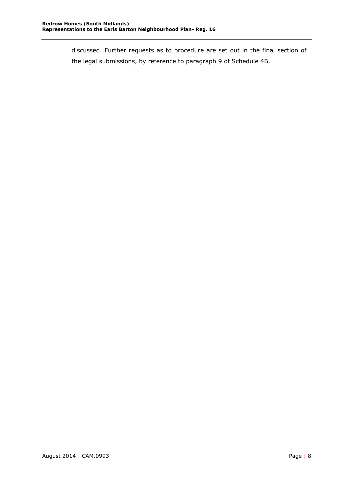discussed. Further requests as to procedure are set out in the final section of the legal submissions, by reference to paragraph 9 of Schedule 4B.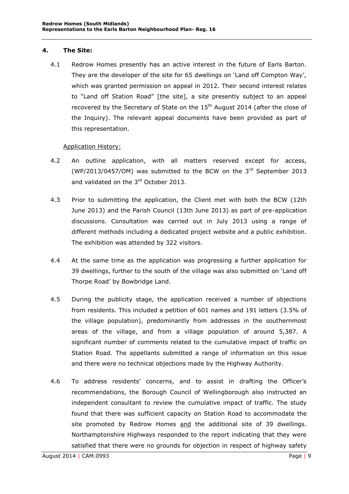### <span id="page-9-0"></span>**4. The Site:**

4.1 Redrow Homes presently has an active interest in the future of Earls Barton. They are the developer of the site for 65 dwellings on 'Land off Compton Way', which was granted permission on appeal in 2012. Their second interest relates to "Land off Station Road" [the site], a site presently subject to an appeal recovered by the Secretary of State on the  $15<sup>th</sup>$  August 2014 (after the close of the Inquiry). The relevant appeal documents have been provided as part of this representation.

### Application History:

- 4.2 An outline application, with all matters reserved except for access, (WP/2013/0457/OM) was submitted to the BCW on the  $3<sup>rd</sup>$  September 2013 and validated on the 3<sup>rd</sup> October 2013.
- 4.3 Prior to submitting the application, the Client met with both the BCW (12th June 2013) and the Parish Council (13th June 2013) as part of pre-application discussions. Consultation was carried out in July 2013 using a range of different methods including a dedicated project website and a public exhibition. The exhibition was attended by 322 visitors.
- 4.4 At the same time as the application was progressing a further application for 39 dwellings, further to the south of the village was also submitted on 'Land off Thorpe Road' by Bowbridge Land.
- 4.5 During the publicity stage, the application received a number of objections from residents. This included a petition of 601 names and 191 letters (3.5% of the village population), predominantly from addresses in the southernmost areas of the village, and from a village population of around 5,387. A significant number of comments related to the cumulative impact of traffic on Station Road. The appellants submitted a range of information on this issue and there were no technical objections made by the Highway Authority.
- 4.6 To address residents' concerns, and to assist in drafting the Officer's recommendations, the Borough Council of Wellingborough also instructed an independent consultant to review the cumulative impact of traffic. The study found that there was sufficient capacity on Station Road to accommodate the site promoted by Redrow Homes and the additional site of 39 dwellings. Northamptonshire Highways responded to the report indicating that they were satisfied that there were no grounds for objection in respect of highway safety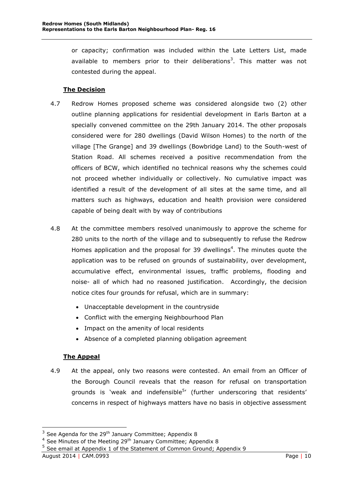or capacity; confirmation was included within the Late Letters List, made available to members prior to their deliberations<sup>3</sup>. This matter was not contested during the appeal.

## **The Decision**

- <span id="page-10-0"></span>4.7 Redrow Homes proposed scheme was considered alongside two (2) other outline planning applications for residential development in Earls Barton at a specially convened committee on the 29th January 2014. The other proposals considered were for 280 dwellings (David Wilson Homes) to the north of the village [The Grange] and 39 dwellings (Bowbridge Land) to the South-west of Station Road. All schemes received a positive recommendation from the officers of BCW, which identified no technical reasons why the schemes could not proceed whether individually or collectively. No cumulative impact was identified a result of the development of all sites at the same time, and all matters such as highways, education and health provision were considered capable of being dealt with by way of contributions
- 4.8 At the committee members resolved unanimously to approve the scheme for 280 units to the north of the village and to subsequently to refuse the Redrow Homes application and the proposal for 39 dwellings<sup>4</sup>. The minutes quote the application was to be refused on grounds of sustainability, over development, accumulative effect, environmental issues, traffic problems, flooding and noise- all of which had no reasoned justification. Accordingly, the decision notice cites four grounds for refusal, which are in summary:
	- Unacceptable development in the countryside
	- Conflict with the emerging Neighbourhood Plan
	- Impact on the amenity of local residents
	- Absence of a completed planning obligation agreement

## **The Appeal**

<span id="page-10-1"></span>4.9 At the appeal, only two reasons were contested. An email from an Officer of the Borough Council reveals that the reason for refusal on transportation grounds is 'weak and indefensible<sup>5</sup>' (further underscoring that residents' concerns in respect of highways matters have no basis in objective assessment

 $3$  See Agenda for the 29<sup>th</sup> January Committee; Appendix 8

 $4$  See Minutes of the Meeting 29<sup>th</sup> January Committee; Appendix 8

<sup>&</sup>lt;sup>5</sup> See email at Appendix 1 of the Statement of Common Ground; Appendix 9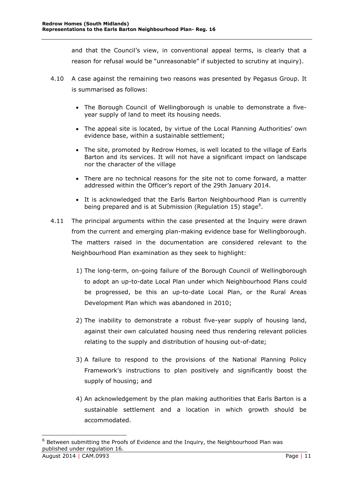and that the Council's view, in conventional appeal terms, is clearly that a reason for refusal would be "unreasonable" if subjected to scrutiny at inquiry).

- 4.10 A case against the remaining two reasons was presented by Pegasus Group. It is summarised as follows:
	- The Borough Council of Wellingborough is unable to demonstrate a fiveyear supply of land to meet its housing needs.
	- The appeal site is located, by virtue of the Local Planning Authorities' own evidence base, within a sustainable settlement;
	- The site, promoted by Redrow Homes, is well located to the village of Earls Barton and its services. It will not have a significant impact on landscape nor the character of the village
	- There are no technical reasons for the site not to come forward, a matter addressed within the Officer's report of the 29th January 2014.
	- It is acknowledged that the Earls Barton Neighbourhood Plan is currently being prepared and is at Submission (Regulation 15) stage<sup>6</sup>.
- 4.11 The principal arguments within the case presented at the Inquiry were drawn from the current and emerging plan-making evidence base for Wellingborough. The matters raised in the documentation are considered relevant to the Neighbourhood Plan examination as they seek to highlight:
	- 1) The long-term, on-going failure of the Borough Council of Wellingborough to adopt an up-to-date Local Plan under which Neighbourhood Plans could be progressed, be this an up-to-date Local Plan, or the Rural Areas Development Plan which was abandoned in 2010;
	- 2) The inability to demonstrate a robust five-year supply of housing land, against their own calculated housing need thus rendering relevant policies relating to the supply and distribution of housing out-of-date;
	- 3) A failure to respond to the provisions of the National Planning Policy Framework's instructions to plan positively and significantly boost the supply of housing; and
	- 4) An acknowledgement by the plan making authorities that Earls Barton is a sustainable settlement and a location in which growth should be accommodated.

August 2014 | CAM.0993 Page | 11  $6$  Between submitting the Proofs of Evidence and the Inquiry, the Neighbourhood Plan was published under regulation 16.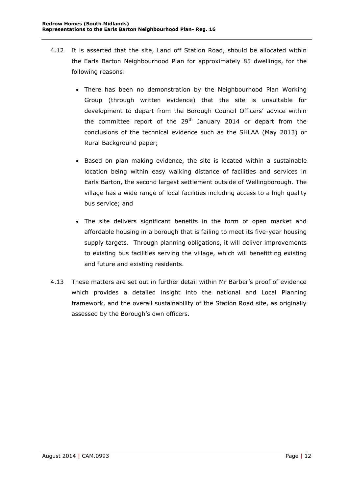- 4.12 It is asserted that the site, Land off Station Road, should be allocated within the Earls Barton Neighbourhood Plan for approximately 85 dwellings, for the following reasons:
	- There has been no demonstration by the Neighbourhood Plan Working Group (through written evidence) that the site is unsuitable for development to depart from the Borough Council Officers' advice within the committee report of the  $29<sup>th</sup>$  January 2014 or depart from the conclusions of the technical evidence such as the SHLAA (May 2013) or Rural Background paper;
	- Based on plan making evidence, the site is located within a sustainable location being within easy walking distance of facilities and services in Earls Barton, the second largest settlement outside of Wellingborough. The village has a wide range of local facilities including access to a high quality bus service; and
	- The site delivers significant benefits in the form of open market and affordable housing in a borough that is failing to meet its five-year housing supply targets. Through planning obligations, it will deliver improvements to existing bus facilities serving the village, which will benefitting existing and future and existing residents.
- 4.13 These matters are set out in further detail within Mr Barber's proof of evidence which provides a detailed insight into the national and Local Planning framework, and the overall sustainability of the Station Road site, as originally assessed by the Borough's own officers.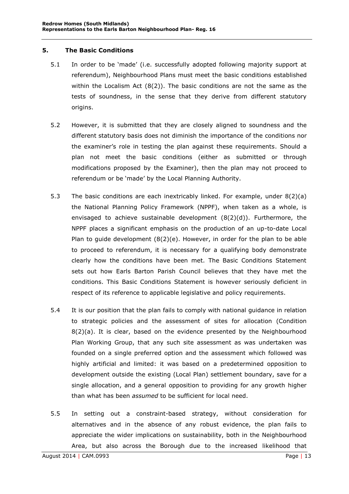## **5. The Basic Conditions**

- <span id="page-13-0"></span>5.1 In order to be 'made' (i.e. successfully adopted following majority support at referendum), Neighbourhood Plans must meet the basic conditions established within the Localism Act  $(8(2))$ . The basic conditions are not the same as the tests of soundness, in the sense that they derive from different statutory origins.
- 5.2 However, it is submitted that they are closely aligned to soundness and the different statutory basis does not diminish the importance of the conditions nor the examiner's role in testing the plan against these requirements. Should a plan not meet the basic conditions (either as submitted or through modifications proposed by the Examiner), then the plan may not proceed to referendum or be 'made' by the Local Planning Authority.
- 5.3 The basic conditions are each inextricably linked. For example, under 8(2)(a) the National Planning Policy Framework (NPPF), when taken as a whole, is envisaged to achieve sustainable development (8(2)(d)). Furthermore, the NPPF places a significant emphasis on the production of an up-to-date Local Plan to guide development  $(8(2)(e)$ . However, in order for the plan to be able to proceed to referendum, it is necessary for a qualifying body demonstrate clearly how the conditions have been met. The Basic Conditions Statement sets out how Earls Barton Parish Council believes that they have met the conditions. This Basic Conditions Statement is however seriously deficient in respect of its reference to applicable legislative and policy requirements.
- 5.4 It is our position that the plan fails to comply with national guidance in relation to strategic policies and the assessment of sites for allocation (Condition 8(2)(a). It is clear, based on the evidence presented by the Neighbourhood Plan Working Group, that any such site assessment as was undertaken was founded on a single preferred option and the assessment which followed was highly artificial and limited: it was based on a predetermined opposition to development outside the existing (Local Plan) settlement boundary, save for a single allocation, and a general opposition to providing for any growth higher than what has been *assumed* to be sufficient for local need.
- 5.5 In setting out a constraint-based strategy, without consideration for alternatives and in the absence of any robust evidence, the plan fails to appreciate the wider implications on sustainability, both in the Neighbourhood Area, but also across the Borough due to the increased likelihood that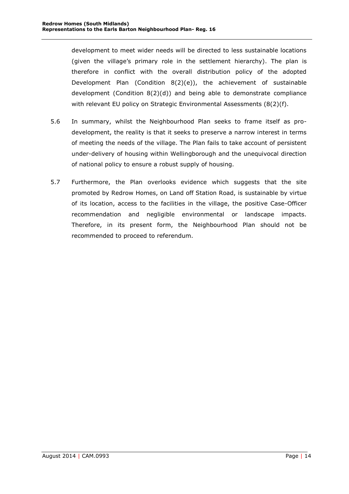development to meet wider needs will be directed to less sustainable locations (given the village's primary role in the settlement hierarchy). The plan is therefore in conflict with the overall distribution policy of the adopted Development Plan (Condition 8(2)(e)), the achievement of sustainable development (Condition 8(2)(d)) and being able to demonstrate compliance with relevant EU policy on Strategic Environmental Assessments (8(2)(f).

- 5.6 In summary, whilst the Neighbourhood Plan seeks to frame itself as prodevelopment, the reality is that it seeks to preserve a narrow interest in terms of meeting the needs of the village. The Plan fails to take account of persistent under-delivery of housing within Wellingborough and the unequivocal direction of national policy to ensure a robust supply of housing.
- 5.7 Furthermore, the Plan overlooks evidence which suggests that the site promoted by Redrow Homes, on Land off Station Road, is sustainable by virtue of its location, access to the facilities in the village, the positive Case-Officer recommendation and negligible environmental or landscape impacts. Therefore, in its present form, the Neighbourhood Plan should not be recommended to proceed to referendum.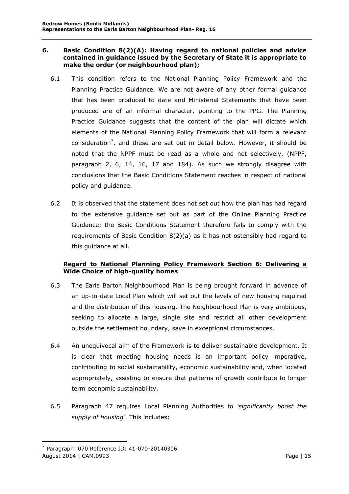#### <span id="page-15-0"></span>**6. Basic Condition 8(2)(A): Having regard to national policies and advice contained in guidance issued by the Secretary of State it is appropriate to make the order (or neighbourhood plan);**

- 6.1 This condition refers to the National Planning Policy Framework and the Planning Practice Guidance. We are not aware of any other formal guidance that has been produced to date and Ministerial Statements that have been produced are of an informal character, pointing to the PPG. The Planning Practice Guidance suggests that the content of the plan will dictate which elements of the National Planning Policy Framework that will form a relevant consideration<sup>7</sup>, and these are set out in detail below. However, it should be noted that the NPPF must be read as a whole and not selectively, (NPPF, paragraph 2, 6, 14, 16, 17 and 184). As such we strongly disagree with conclusions that the Basic Conditions Statement reaches in respect of national policy and guidance.
- 6.2 It is observed that the statement does not set out how the plan has had regard to the extensive guidance set out as part of the Online Planning Practice Guidance; the Basic Conditions Statement therefore fails to comply with the requirements of Basic Condition 8(2)(a) as it has not ostensibly had regard to this guidance at all.

## <span id="page-15-1"></span>**Regard to National Planning Policy Framework Section 6: Delivering a Wide Choice of high-quality homes**

- 6.3 The Earls Barton Neighbourhood Plan is being brought forward in advance of an up-to-date Local Plan which will set out the levels of new housing required and the distribution of this housing. The Neighbourhood Plan is very ambitious, seeking to allocate a large, single site and restrict all other development outside the settlement boundary, save in exceptional circumstances.
- 6.4 An unequivocal aim of the Framework is to deliver sustainable development. It is clear that meeting housing needs is an important policy imperative, contributing to social sustainability, economic sustainability and, when located appropriately, assisting to ensure that patterns of growth contribute to longer term economic sustainability.
- 6.5 Paragraph 47 requires Local Planning Authorities to *'significantly boost the supply of housing'*. This includes:

August 2014 | CAM.0993 Page | 15 7 Paragraph: 070 Reference ID: 41-070-20140306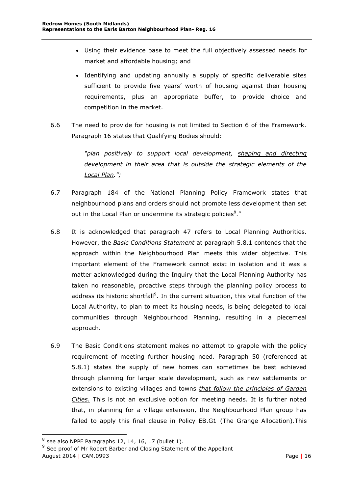- Using their evidence base to meet the full objectively assessed needs for market and affordable housing; and
- Identifying and updating annually a supply of specific deliverable sites sufficient to provide five years' worth of housing against their housing requirements, plus an appropriate buffer, to provide choice and competition in the market.
- 6.6 The need to provide for housing is not limited to Section 6 of the Framework. Paragraph 16 states that Qualifying Bodies should:

*"plan positively to support local development, shaping and directing development in their area that is outside the strategic elements of the Local Plan.";*

- 6.7 Paragraph 184 of the National Planning Policy Framework states that neighbourhood plans and orders should not promote less development than set out in the Local Plan or undermine its strategic policies<sup>8</sup>."
- 6.8 It is acknowledged that paragraph 47 refers to Local Planning Authorities. However, the *Basic Conditions Statement* at paragraph 5.8.1 contends that the approach within the Neighbourhood Plan meets this wider objective. This important element of the Framework cannot exist in isolation and it was a matter acknowledged during the Inquiry that the Local Planning Authority has taken no reasonable, proactive steps through the planning policy process to address its historic shortfall<sup>9</sup>. In the current situation, this vital function of the Local Authority, to plan to meet its housing needs, is being delegated to local communities through Neighbourhood Planning, resulting in a piecemeal approach.
- 6.9 The Basic Conditions statement makes no attempt to grapple with the policy requirement of meeting further housing need. Paragraph 50 (referenced at 5.8.1) states the supply of new homes can sometimes be best achieved through planning for larger scale development, such as new settlements or extensions to existing villages and towns *that follow the principles of Garden Cities*. This is not an exclusive option for meeting needs. It is further noted that, in planning for a village extension, the Neighbourhood Plan group has failed to apply this final clause in Policy EB.G1 (The Grange Allocation).This

 $8$  see also NPPF Paragraphs 12, 14, 16, 17 (bullet 1).

<sup>&</sup>lt;sup>9</sup> See proof of Mr Robert Barber and Closing Statement of the Appellant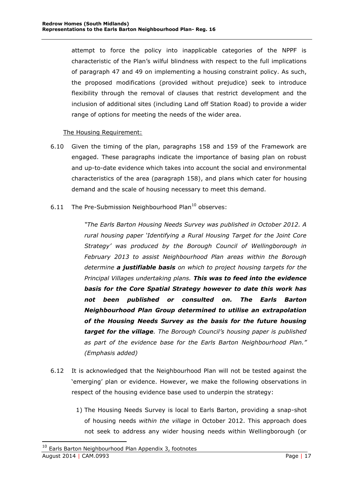attempt to force the policy into inapplicable categories of the NPPF is characteristic of the Plan's wilful blindness with respect to the full implications of paragraph 47 and 49 on implementing a housing constraint policy. As such, the proposed modifications (provided without prejudice) seek to introduce flexibility through the removal of clauses that restrict development and the inclusion of additional sites (including Land off Station Road) to provide a wider range of options for meeting the needs of the wider area.

## The Housing Requirement:

- 6.10 Given the timing of the plan, paragraphs 158 and 159 of the Framework are engaged. These paragraphs indicate the importance of basing plan on robust and up-to-date evidence which takes into account the social and environmental characteristics of the area (paragraph 158), and plans which cater for housing demand and the scale of housing necessary to meet this demand.
- 6.11 The Pre-Submission Neighbourhood Plan $^{10}$  observes:

*"The Earls Barton Housing Needs Survey was published in October 2012. A rural housing paper 'Identifying a Rural Housing Target for the Joint Core Strategy' was produced by the Borough Council of Wellingborough in February 2013 to assist Neighbourhood Plan areas within the Borough determine a justifiable basis on which to project housing targets for the Principal Villages undertaking plans. This was to feed into the evidence basis for the Core Spatial Strategy however to date this work has not been published or consulted on. The Earls Barton Neighbourhood Plan Group determined to utilise an extrapolation of the Housing Needs Survey as the basis for the future housing target for the village. The Borough Council's housing paper is published as part of the evidence base for the Earls Barton Neighbourhood Plan." (Emphasis added)*

- 6.12 It is acknowledged that the Neighbourhood Plan will not be tested against the 'emerging' plan or evidence. However, we make the following observations in respect of the housing evidence base used to underpin the strategy:
	- 1) The Housing Needs Survey is local to Earls Barton, providing a snap-shot of housing needs *within the village* in October 2012. This approach does not seek to address any wider housing needs within Wellingborough (or

August 2014 | CAM.0993 Page | 17 <sup>10</sup> Earls Barton Neighbourhood Plan Appendix 3, footnotes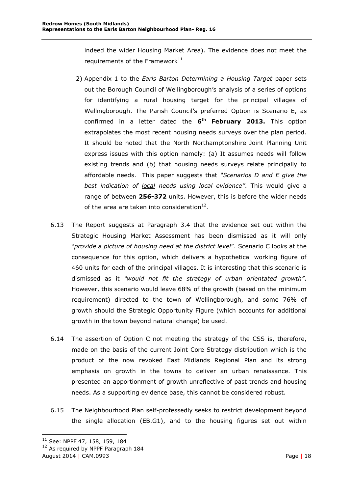indeed the wider Housing Market Area). The evidence does not meet the requirements of the Framework $^{11}$ 

- 2) Appendix 1 to the *Earls Barton Determining a Housing Target* paper sets out the Borough Council of Wellingborough's analysis of a series of options for identifying a rural housing target for the principal villages of Wellingborough. The Parish Council's preferred Option is Scenario E, as confirmed in a letter dated the **6 th February 2013.** This option extrapolates the most recent housing needs surveys over the plan period. It should be noted that the North Northamptonshire Joint Planning Unit express issues with this option namely: (a) It assumes needs will follow existing trends and (b) that housing needs surveys relate principally to affordable needs. This paper suggests that *"Scenarios D and E give the best indication of local needs using local evidence"*. This would give a range of between **256-372** units. However, this is before the wider needs of the area are taken into consideration $^{12}$ .
- 6.13 The Report suggests at Paragraph 3.4 that the evidence set out within the Strategic Housing Market Assessment has been dismissed as it will only "*provide a picture of housing need at the district level*". Scenario C looks at the consequence for this option, which delivers a hypothetical working figure of 460 units for each of the principal villages. It is interesting that this scenario is dismissed as it *"would not fit the strategy of urban orientated growth"*. However, this scenario would leave 68% of the growth (based on the minimum requirement) directed to the town of Wellingborough, and some 76% of growth should the Strategic Opportunity Figure (which accounts for additional growth in the town beyond natural change) be used.
- 6.14 The assertion of Option C not meeting the strategy of the CSS is, therefore, made on the basis of the current Joint Core Strategy distribution which is the product of the now revoked East Midlands Regional Plan and its strong emphasis on growth in the towns to deliver an urban renaissance. This presented an apportionment of growth unreflective of past trends and housing needs. As a supporting evidence base, this cannot be considered robust.
- 6.15 The Neighbourhood Plan self-professedly seeks to restrict development beyond the single allocation (EB.G1), and to the housing figures set out within

 $11$  See: NPPF 47, 158, 159, 184

<sup>&</sup>lt;sup>12</sup> As required by NPPF Paragraph 184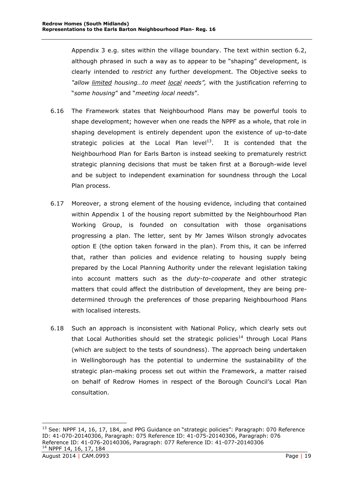Appendix 3 e.g. sites within the village boundary. The text within section 6.2, although phrased in such a way as to appear to be "shaping" development, is clearly intended to *restrict* any further development. The Objective seeks to *"allow limited housing…to meet local needs",* with the justification referring to "*some housing*" and "*meeting local needs*".

- 6.16 The Framework states that Neighbourhood Plans may be powerful tools to shape development; however when one reads the NPPF as a whole, that role in shaping development is entirely dependent upon the existence of up-to-date strategic policies at the Local Plan level $^{13}$ . It is contended that the Neighbourhood Plan for Earls Barton is instead seeking to prematurely restrict strategic planning decisions that must be taken first at a Borough-wide level and be subject to independent examination for soundness through the Local Plan process.
- 6.17 Moreover, a strong element of the housing evidence, including that contained within Appendix 1 of the housing report submitted by the Neighbourhood Plan Working Group, is founded on consultation with those organisations progressing a plan. The letter, sent by Mr James Wilson strongly advocates option E (the option taken forward in the plan). From this, it can be inferred that, rather than policies and evidence relating to housing supply being prepared by the Local Planning Authority under the relevant legislation taking into account matters such as the *duty-to-cooperate* and other strategic matters that could affect the distribution of development, they are being predetermined through the preferences of those preparing Neighbourhood Plans with localised interests.
- 6.18 Such an approach is inconsistent with National Policy, which clearly sets out that Local Authorities should set the strategic policies<sup>14</sup> through Local Plans (which are subject to the tests of soundness). The approach being undertaken in Wellingborough has the potential to undermine the sustainability of the strategic plan-making process set out within the Framework, a matter raised on behalf of Redrow Homes in respect of the Borough Council's Local Plan consultation.

August 2014 | CAM.0993 Page | 19 <sup>13</sup> See: NPPF 14, 16, 17, 184, and PPG Guidance on "strategic policies": Paragraph: 070 Reference ID: 41-070-20140306, Paragraph: 075 Reference ID: 41-075-20140306, Paragraph: 076 Reference ID: 41-076-20140306, Paragraph: 077 Reference ID: 41-077-20140306 <sup>14</sup> NPPF 14, 16, 17, 184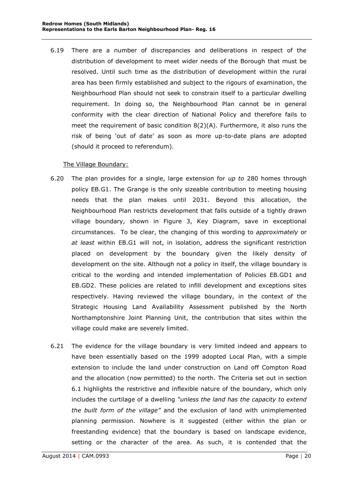6.19 There are a number of discrepancies and deliberations in respect of the distribution of development to meet wider needs of the Borough that must be resolved. Until such time as the distribution of development within the rural area has been firmly established and subject to the rigours of examination, the Neighbourhood Plan should not seek to constrain itself to a particular dwelling requirement. In doing so, the Neighbourhood Plan cannot be in general conformity with the clear direction of National Policy and therefore fails to meet the requirement of basic condition 8(2)(A). Furthermore, it also runs the risk of being 'out of date' as soon as more up-to-date plans are adopted (should it proceed to referendum).

## The Village Boundary:

- 6.20 The plan provides for a single, large extension for *up to* 280 homes through policy EB.G1. The Grange is the only sizeable contribution to meeting housing needs that the plan makes until 2031. Beyond this allocation, the Neighbourhood Plan restricts development that falls outside of a tightly drawn village boundary, shown in Figure 3, Key Diagram, save in exceptional circumstances. To be clear, the changing of this wording to *approximately* or *at least* within EB.G1 will not, in isolation, address the significant restriction placed on development by the boundary given the likely density of development on the site. Although not a policy in itself, the village boundary is critical to the wording and intended implementation of Policies EB.GD1 and EB.GD2. These policies are related to infill development and exceptions sites respectively. Having reviewed the village boundary, in the context of the Strategic Housing Land Availability Assessment published by the North Northamptonshire Joint Planning Unit, the contribution that sites within the village could make are severely limited.
- 6.21 The evidence for the village boundary is very limited indeed and appears to have been essentially based on the 1999 adopted Local Plan, with a simple extension to include the land under construction on Land off Compton Road and the allocation (now permitted) to the north. The Criteria set out in section 6.1 highlights the restrictive and inflexible nature of the boundary, which only includes the curtilage of a dwelling *"unless the land has the capacity to extend the built form of the village"* and the exclusion of land with unimplemented planning permission. Nowhere is it suggested (either within the plan or freestanding evidence) that the boundary is based on landscape evidence, setting or the character of the area. As such, it is contended that the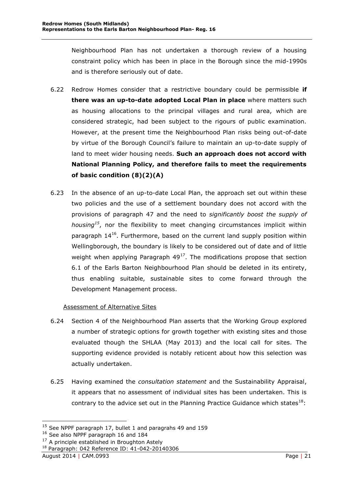Neighbourhood Plan has not undertaken a thorough review of a housing constraint policy which has been in place in the Borough since the mid-1990s and is therefore seriously out of date.

- 6.22 Redrow Homes consider that a restrictive boundary could be permissible **if there was an up-to-date adopted Local Plan in place** where matters such as housing allocations to the principal villages and rural area, which are considered strategic, had been subject to the rigours of public examination. However, at the present time the Neighbourhood Plan risks being out-of-date by virtue of the Borough Council's failure to maintain an up-to-date supply of land to meet wider housing needs. **Such an approach does not accord with National Planning Policy, and therefore fails to meet the requirements of basic condition (8)(2)(A)**
- 6.23 In the absence of an up-to-date Local Plan, the approach set out within these two policies and the use of a settlement boundary does not accord with the provisions of paragraph 47 and the need to *significantly boost the supply of housing<sup>15</sup>*, nor the flexibility to meet changing circumstances implicit within paragraph  $14^{16}$ . Furthermore, based on the current land supply position within Wellingborough, the boundary is likely to be considered out of date and of little weight when applying Paragraph  $49^{17}$ . The modifications propose that section 6.1 of the Earls Barton Neighbourhood Plan should be deleted in its entirety, thus enabling suitable, sustainable sites to come forward through the Development Management process.

## Assessment of Alternative Sites

- 6.24 Section 4 of the Neighbourhood Plan asserts that the Working Group explored a number of strategic options for growth together with existing sites and those evaluated though the SHLAA (May 2013) and the local call for sites. The supporting evidence provided is notably reticent about how this selection was actually undertaken.
- 6.25 Having examined the *consultation statement* and the Sustainability Appraisal, it appears that no assessment of individual sites has been undertaken. This is contrary to the advice set out in the Planning Practice Guidance which states $^{18}$ :

 $15$  See NPPF paragraph 17, bullet 1 and paragrahs 49 and 159

<sup>&</sup>lt;sup>16</sup> See also NPPF paragraph 16 and 184

 $17$  A principle established in Broughton Astely

<sup>18</sup> Paragraph: 042 Reference ID: 41-042-20140306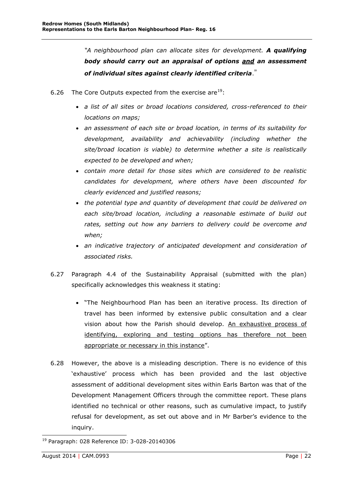*"A neighbourhood plan can allocate sites for development. A qualifying body should carry out an appraisal of options and an assessment of individual sites against clearly identified criteria*."

- 6.26 The Core Outputs expected from the exercise are  $19$ :
	- *a list of all sites or broad locations considered, cross-referenced to their locations on maps;*
	- *an assessment of each site or broad location, in terms of its suitability for development, availability and achievability (including whether the site/broad location is viable) to determine whether a site is realistically expected to be developed and when;*
	- *contain more detail for those sites which are considered to be realistic candidates for development, where others have been discounted for clearly evidenced and justified reasons;*
	- *the potential type and quantity of development that could be delivered on each site/broad location, including a reasonable estimate of build out rates, setting out how any barriers to delivery could be overcome and when;*
	- *an indicative trajectory of anticipated development and consideration of associated risks.*
- 6.27 Paragraph 4.4 of the Sustainability Appraisal (submitted with the plan) specifically acknowledges this weakness it stating:
	- "The Neighbourhood Plan has been an iterative process. Its direction of travel has been informed by extensive public consultation and a clear vision about how the Parish should develop. An exhaustive process of identifying, exploring and testing options has therefore not been appropriate or necessary in this instance".
- 6.28 However, the above is a misleading description. There is no evidence of this 'exhaustive' process which has been provided and the last objective assessment of additional development sites within Earls Barton was that of the Development Management Officers through the committee report. These plans identified no technical or other reasons, such as cumulative impact, to justify refusal for development, as set out above and in Mr Barber's evidence to the inquiry.

<sup>-</sup><sup>19</sup> Paragraph: 028 Reference ID: 3-028-20140306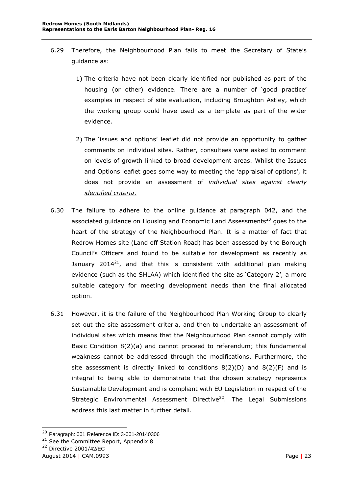- 6.29 Therefore, the Neighbourhood Plan fails to meet the Secretary of State's guidance as:
	- 1) The criteria have not been clearly identified nor published as part of the housing (or other) evidence. There are a number of 'good practice' examples in respect of site evaluation, including Broughton Astley, which the working group could have used as a template as part of the wider evidence.
	- 2) The 'issues and options' leaflet did not provide an opportunity to gather comments on individual sites. Rather, consultees were asked to comment on levels of growth linked to broad development areas. Whilst the Issues and Options leaflet goes some way to meeting the 'appraisal of options', it does not provide an assessment of *individual sites against clearly identified criteria*.
- 6.30 The failure to adhere to the online guidance at paragraph 042, and the associated guidance on Housing and Economic Land Assessments<sup>20</sup> goes to the heart of the strategy of the Neighbourhood Plan. It is a matter of fact that Redrow Homes site (Land off Station Road) has been assessed by the Borough Council's Officers and found to be suitable for development as recently as January 2014<sup>21</sup>, and that this is consistent with additional plan making evidence (such as the SHLAA) which identified the site as 'Category 2', a more suitable category for meeting development needs than the final allocated option.
- 6.31 However, it is the failure of the Neighbourhood Plan Working Group to clearly set out the site assessment criteria, and then to undertake an assessment of individual sites which means that the Neighbourhood Plan cannot comply with Basic Condition 8(2)(a) and cannot proceed to referendum; this fundamental weakness cannot be addressed through the modifications. Furthermore, the site assessment is directly linked to conditions  $8(2)(D)$  and  $8(2)(F)$  and is integral to being able to demonstrate that the chosen strategy represents Sustainable Development and is compliant with EU Legislation in respect of the Strategic Environmental Assessment Directive<sup>22</sup>. The Legal Submissions address this last matter in further detail.

<sup>20</sup> Paragraph: 001 Reference ID: 3-001-20140306

<sup>&</sup>lt;sup>21</sup> See the Committee Report, Appendix 8

<sup>22</sup> Directive 2001/42/EC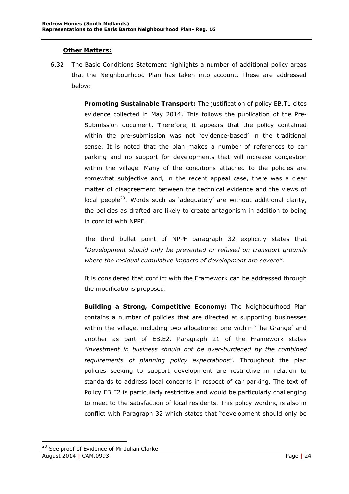## **Other Matters:**

<span id="page-24-0"></span>6.32 The Basic Conditions Statement highlights a number of additional policy areas that the Neighbourhood Plan has taken into account. These are addressed below:

> **Promoting Sustainable Transport:** The justification of policy EB.T1 cites evidence collected in May 2014. This follows the publication of the Pre-Submission document. Therefore, it appears that the policy contained within the pre-submission was not 'evidence-based' in the traditional sense. It is noted that the plan makes a number of references to car parking and no support for developments that will increase congestion within the village. Many of the conditions attached to the policies are somewhat subjective and, in the recent appeal case, there was a clear matter of disagreement between the technical evidence and the views of local people<sup>23</sup>. Words such as 'adequately' are without additional clarity, the policies as drafted are likely to create antagonism in addition to being in conflict with NPPF.

> The third bullet point of NPPF paragraph 32 explicitly states that *"Development should only be prevented or refused on transport grounds where the residual cumulative impacts of development are severe"*.

> It is considered that conflict with the Framework can be addressed through the modifications proposed.

> **Building a Strong, Competitive Economy:** The Neighbourhood Plan contains a number of policies that are directed at supporting businesses within the village, including two allocations: one within 'The Grange' and another as part of EB.E2. Paragraph 21 of the Framework states "*investment in business should not be over-burdened by the combined requirements of planning policy expectations*". Throughout the plan policies seeking to support development are restrictive in relation to standards to address local concerns in respect of car parking. The text of Policy EB.E2 is particularly restrictive and would be particularly challenging to meet to the satisfaction of local residents. This policy wording is also in conflict with Paragraph 32 which states that "development should only be

August 2014 | CAM.0993 Page | 24 <sup>23</sup> See proof of Evidence of Mr Julian Clarke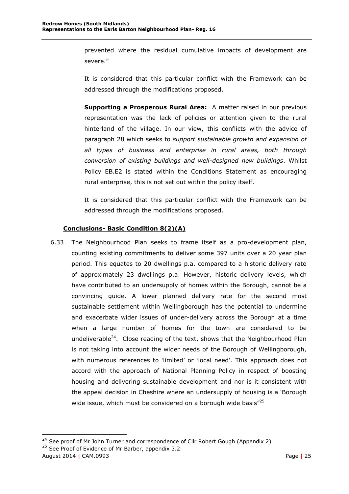prevented where the residual cumulative impacts of development are severe."

It is considered that this particular conflict with the Framework can be addressed through the modifications proposed.

**Supporting a Prosperous Rural Area:** A matter raised in our previous representation was the lack of policies or attention given to the rural hinterland of the village. In our view, this conflicts with the advice of paragraph 28 which seeks to *support sustainable growth and expansion of all types of business and enterprise in rural areas, both through conversion of existing buildings and well-designed new buildings*. Whilst Policy EB.E2 is stated within the Conditions Statement as encouraging rural enterprise, this is not set out within the policy itself.

It is considered that this particular conflict with the Framework can be addressed through the modifications proposed.

## **Conclusions- Basic Condition 8(2)(A)**

<span id="page-25-0"></span>6.33 The Neighbourhood Plan seeks to frame itself as a pro-development plan, counting existing commitments to deliver some 397 units over a 20 year plan period. This equates to 20 dwellings p.a. compared to a historic delivery rate of approximately 23 dwellings p.a. However, historic delivery levels, which have contributed to an undersupply of homes within the Borough, cannot be a convincing guide. A lower planned delivery rate for the second most sustainable settlement within Wellingborough has the potential to undermine and exacerbate wider issues of under-delivery across the Borough at a time when a large number of homes for the town are considered to be undeliverable<sup>24</sup>. Close reading of the text, shows that the Neighbourhood Plan is not taking into account the wider needs of the Borough of Wellingborough, with numerous references to 'limited' or 'local need'. This approach does not accord with the approach of National Planning Policy in respect of boosting housing and delivering sustainable development and nor is it consistent with the appeal decision in Cheshire where an undersupply of housing is a 'Borough wide issue, which must be considered on a borough wide basis"<sup>25</sup>

<sup>&</sup>lt;sup>24</sup> See proof of Mr John Turner and correspondence of Cllr Robert Gough (Appendix 2) <sup>25</sup> See Proof of Evidence of Mr Barber, appendix 3.2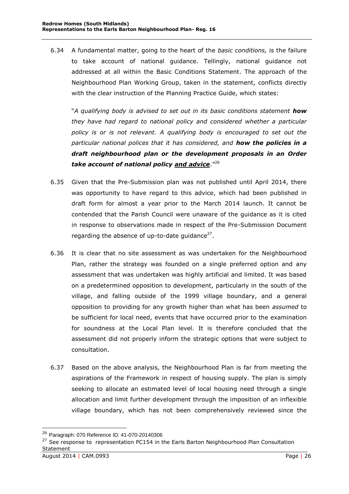6.34 A fundamental matter, going to the heart of the *basic conditions,* is the failure to take account of national guidance. Tellingly, national guidance not addressed at all within the Basic Conditions Statement. The approach of the Neighbourhood Plan Working Group, taken in the statement, conflicts directly with the clear instruction of the Planning Practice Guide, which states:

"*A qualifying body is advised to set out in its basic conditions statement how they have had regard to national policy and considered whether a particular policy is or is not relevant. A qualifying body is encouraged to set out the particular national polices that it has considered, and how the policies in a draft neighbourhood plan or the development proposals in an Order take account of national policy and advice*." 26

- 6.35 Given that the Pre-Submission plan was not published until April 2014, there was opportunity to have regard to this advice, which had been published in draft form for almost a year prior to the March 2014 launch. It cannot be contended that the Parish Council were unaware of the guidance as it is cited in response to observations made in respect of the Pre-Submission Document regarding the absence of up-to-date guidance $^{27}$ .
- 6.36 It is clear that no site assessment as was undertaken for the Neighbourhood Plan, rather the strategy was founded on a single preferred option and any assessment that was undertaken was highly artificial and limited. It was based on a predetermined opposition to development, particularly in the south of the village, and falling outside of the 1999 village boundary, and a general opposition to providing for any growth higher than what has been *assumed* to be sufficient for local need, events that have occurred prior to the examination for soundness at the Local Plan level. It is therefore concluded that the assessment did not properly inform the strategic options that were subject to consultation.
- 6.37 Based on the above analysis, the Neighbourhood Plan is far from meeting the aspirations of the Framework in respect of housing supply. The plan is simply seeking to allocate an estimated level of local housing need through a single allocation and limit further development through the imposition of an inflexible village boundary, which has not been comprehensively reviewed since the

<sup>&</sup>lt;sup>26</sup> Paragraph: 070 Reference ID: 41-070-20140306

 $27$  See response to representation PC154 in the Earls Barton Neighbourhood Plan Consultation Statement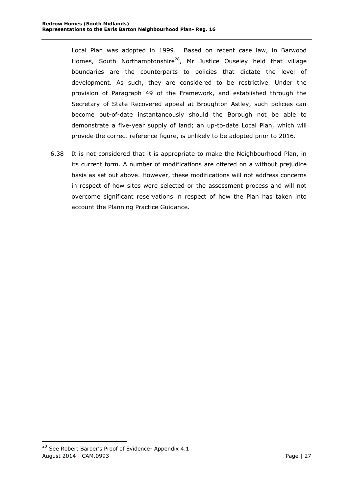Local Plan was adopted in 1999. Based on recent case law, in Barwood Homes, South Northamptonshire<sup>28</sup>, Mr Justice Ouseley held that village boundaries are the counterparts to policies that dictate the level of development. As such, they are considered to be restrictive. Under the provision of Paragraph 49 of the Framework, and established through the Secretary of State Recovered appeal at Broughton Astley, such policies can become out-of-date instantaneously should the Borough not be able to demonstrate a five-year supply of land; an up-to-date Local Plan, which will provide the correct reference figure, is unlikely to be adopted prior to 2016.

6.38 It is not considered that it is appropriate to make the Neighbourhood Plan, in its current form. A number of modifications are offered on a without prejudice basis as set out above. However, these modifications will not address concerns in respect of how sites were selected or the assessment process and will not overcome significant reservations in respect of how the Plan has taken into account the Planning Practice Guidance.

August 2014 | CAM.0993 Page | 27 <sup>28</sup> See Robert Barber's Proof of Evidence- Appendix 4.1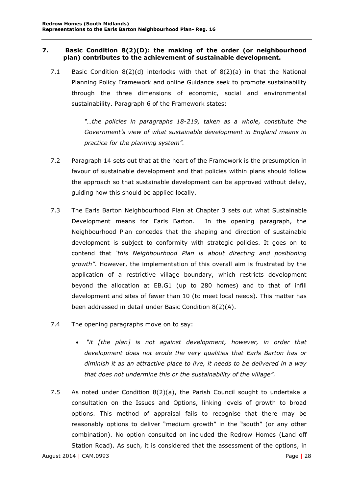#### <span id="page-28-0"></span>**7. Basic Condition 8(2)(D): the making of the order (or neighbourhood plan) contributes to the achievement of sustainable development.**

7.1 Basic Condition  $8(2)(d)$  interlocks with that of  $8(2)(a)$  in that the National Planning Policy Framework and online Guidance seek to promote sustainability through the three dimensions of economic, social and environmental sustainability. Paragraph 6 of the Framework states:

> *"…the policies in paragraphs 18-219, taken as a whole, constitute the Government's view of what sustainable development in England means in practice for the planning system".*

- 7.2 Paragraph 14 sets out that at the heart of the Framework is the presumption in favour of sustainable development and that policies within plans should follow the approach so that sustainable development can be approved without delay, guiding how this should be applied locally.
- 7.3 The Earls Barton Neighbourhood Plan at Chapter 3 sets out what Sustainable Development means for Earls Barton. In the opening paragraph, the Neighbourhood Plan concedes that the shaping and direction of sustainable development is subject to conformity with strategic policies. It goes on to contend that *'this Neighbourhood Plan is about directing and positioning growth"*. However, the implementation of this overall aim is frustrated by the application of a restrictive village boundary, which restricts development beyond the allocation at EB.G1 (up to 280 homes) and to that of infill development and sites of fewer than 10 (to meet local needs). This matter has been addressed in detail under Basic Condition 8(2)(A).
- 7.4 The opening paragraphs move on to say:
	- *"it [the plan] is not against development, however, in order that development does not erode the very qualities that Earls Barton has or diminish it as an attractive place to live, it needs to be delivered in a way that does not undermine this or the sustainability of the village".*
- 7.5 As noted under Condition 8(2)(a), the Parish Council sought to undertake a consultation on the Issues and Options, linking levels of growth to broad options. This method of appraisal fails to recognise that there may be reasonably options to deliver "medium growth" in the "south" (or any other combination). No option consulted on included the Redrow Homes (Land off Station Road). As such, it is considered that the assessment of the options, in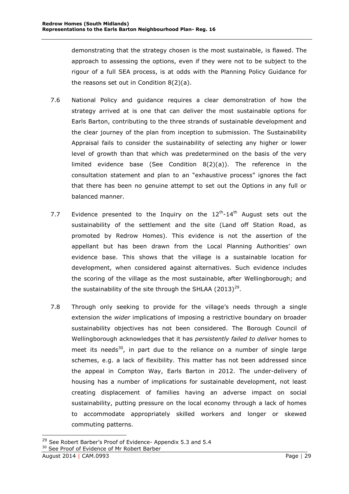demonstrating that the strategy chosen is the most sustainable, is flawed. The approach to assessing the options, even if they were not to be subject to the rigour of a full SEA process, is at odds with the Planning Policy Guidance for the reasons set out in Condition 8(2)(a).

- 7.6 National Policy and guidance requires a clear demonstration of how the strategy arrived at is one that can deliver the most sustainable options for Earls Barton, contributing to the three strands of sustainable development and the clear journey of the plan from inception to submission. The Sustainability Appraisal fails to consider the sustainability of selecting any higher or lower level of growth than that which was predetermined on the basis of the very limited evidence base (See Condition 8(2)(a)). The reference in the consultation statement and plan to an "exhaustive process" ignores the fact that there has been no genuine attempt to set out the Options in any full or balanced manner.
- 7.7 Evidence presented to the Inquiry on the  $12<sup>th</sup>$ -14<sup>th</sup> August sets out the sustainability of the settlement and the site (Land off Station Road, as promoted by Redrow Homes). This evidence is not the assertion of the appellant but has been drawn from the Local Planning Authorities' own evidence base. This shows that the village is a sustainable location for development, when considered against alternatives. Such evidence includes the scoring of the village as the most sustainable, after Wellingborough; and the sustainability of the site through the SHLAA (2013)<sup>29</sup>.
- 7.8 Through only seeking to provide for the village's needs through a single extension the *wider* implications of imposing a restrictive boundary on broader sustainability objectives has not been considered. The Borough Council of Wellingborough acknowledges that it has *persistently failed to deliver* homes to meet its needs<sup>30</sup>, in part due to the reliance on a number of single large schemes, e.g. a lack of flexibility. This matter has not been addressed since the appeal in Compton Way, Earls Barton in 2012. The under-delivery of housing has a number of implications for sustainable development, not least creating displacement of families having an adverse impact on social sustainability, putting pressure on the local economy through a lack of homes to accommodate appropriately skilled workers and longer or skewed commuting patterns.

<sup>&</sup>lt;sup>29</sup> See Robert Barber's Proof of Evidence- Appendix 5.3 and 5.4

<sup>&</sup>lt;sup>30</sup> See Proof of Evidence of Mr Robert Barber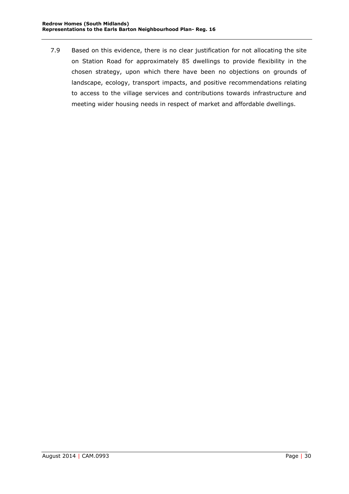7.9 Based on this evidence, there is no clear justification for not allocating the site on Station Road for approximately 85 dwellings to provide flexibility in the chosen strategy, upon which there have been no objections on grounds of landscape, ecology, transport impacts, and positive recommendations relating to access to the village services and contributions towards infrastructure and meeting wider housing needs in respect of market and affordable dwellings.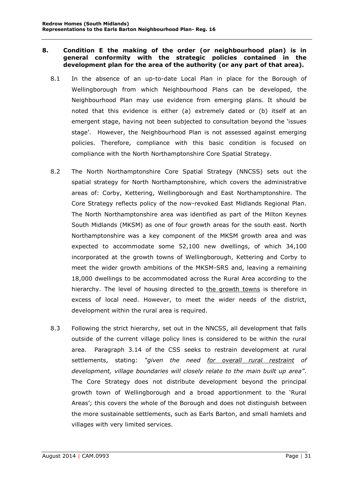#### <span id="page-31-0"></span>**8. Condition E the making of the order (or neighbourhood plan) is in general conformity with the strategic policies contained in the development plan for the area of the authority (or any part of that area).**

- 8.1 In the absence of an up-to-date Local Plan in place for the Borough of Wellingborough from which Neighbourhood Plans can be developed, the Neighbourhood Plan may use evidence from emerging plans. It should be noted that this evidence is either (a) extremely dated or (b) itself at an emergent stage, having not been subjected to consultation beyond the 'issues stage'. However, the Neighbourhood Plan is not assessed against emerging policies. Therefore, compliance with this basic condition is focused on compliance with the North Northamptonshire Core Spatial Strategy.
- 8.2 The North Northamptonshire Core Spatial Strategy (NNCSS) sets out the spatial strategy for North Northamptonshire, which covers the administrative areas of: Corby, Kettering, Wellingborough and East Northamptonshire. The Core Strategy reflects policy of the now-revoked East Midlands Regional Plan. The North Northamptonshire area was identified as part of the Milton Keynes South Midlands (MKSM) as one of four growth areas for the south east. North Northamptonshire was a key component of the MKSM growth area and was expected to accommodate some 52,100 new dwellings, of which 34,100 incorporated at the growth towns of Wellingborough, Kettering and Corby to meet the wider growth ambitions of the MKSM-SRS and, leaving a remaining 18,000 dwellings to be accommodated across the Rural Area according to the hierarchy. The level of housing directed to the growth towns is therefore in excess of local need. However, to meet the wider needs of the district, development within the rural area is required.
- 8.3 Following the strict hierarchy, set out in the NNCSS, all development that falls outside of the current village policy lines is considered to be within the rural area. Paragraph 3.14 of the CSS seeks to restrain development at rural settlements, stating: *"given the need for overall rural restraint of development, village boundaries will closely relate to the main built up area"*. The Core Strategy does not distribute development beyond the principal growth town of Wellingborough and a broad apportionment to the 'Rural Areas'; this covers the whole of the Borough and does not distinguish between the more sustainable settlements, such as Earls Barton, and small hamlets and villages with very limited services.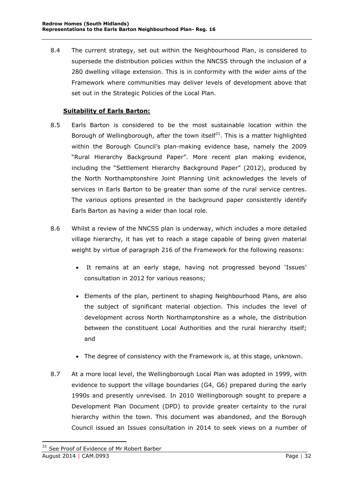8.4 The current strategy, set out within the Neighbourhood Plan, is considered to supersede the distribution policies within the NNCSS through the inclusion of a 280 dwelling village extension. This is in conformity with the wider aims of the Framework where communities may deliver levels of development above that set out in the Strategic Policies of the Local Plan.

## **Suitability of Earls Barton:**

- <span id="page-32-0"></span>8.5 Earls Barton is considered to be the most sustainable location within the Borough of Wellingborough, after the town itself<sup>31</sup>. This is a matter highlighted within the Borough Council's plan-making evidence base, namely the 2009 "Rural Hierarchy Background Paper". More recent plan making evidence, including the "Settlement Hierarchy Background Paper" (2012), produced by the North Northamptonshire Joint Planning Unit acknowledges the levels of services in Earls Barton to be greater than some of the rural service centres. The various options presented in the background paper consistently identify Earls Barton as having a wider than local role.
- 8.6 Whilst a review of the NNCSS plan is underway, which includes a more detailed village hierarchy, it has yet to reach a stage capable of being given material weight by virtue of paragraph 216 of the Framework for the following reasons:
	- It remains at an early stage, having not progressed beyond 'Issues' consultation in 2012 for various reasons;
	- Elements of the plan, pertinent to shaping Neighbourhood Plans, are also the subject of significant material objection. This includes the level of development across North Northamptonshire as a whole, the distribution between the constituent Local Authorities and the rural hierarchy itself; and
	- The degree of consistency with the Framework is, at this stage, unknown.
- 8.7 At a more local level, the Wellingborough Local Plan was adopted in 1999, with evidence to support the village boundaries (G4, G6) prepared during the early 1990s and presently unrevised. In 2010 Wellingborough sought to prepare a Development Plan Document (DPD) to provide greater certainty to the rural hierarchy within the town. This document was abandoned, and the Borough Council issued an Issues consultation in 2014 to seek views on a number of

August 2014 | CAM.0993 Page | 32 <sup>31</sup> See Proof of Evidence of Mr Robert Barber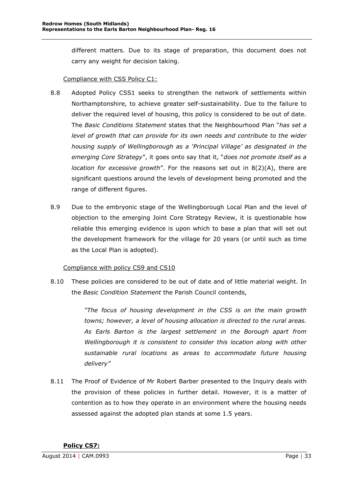different matters. Due to its stage of preparation, this document does not carry any weight for decision taking.

## Compliance with CSS Policy C1:

- 8.8 Adopted Policy CSS1 seeks to strengthen the network of settlements within Northamptonshire, to achieve greater self-sustainability. Due to the failure to deliver the required level of housing, this policy is considered to be out of date. The *Basic Conditions Statement* states that the Neighbourhood Plan "*has set a level of growth that can provide for its own needs and contribute to the wider housing supply of Wellingborough as a 'Principal Village' as designated in the emerging Core Strategy*", it goes onto say that it, "*does not promote itself as a location for excessive growth*". For the reasons set out in 8(2)(A), there are significant questions around the levels of development being promoted and the range of different figures.
- 8.9 Due to the embryonic stage of the Wellingborough Local Plan and the level of objection to the emerging Joint Core Strategy Review, it is questionable how reliable this emerging evidence is upon which to base a plan that will set out the development framework for the village for 20 years (or until such as time as the Local Plan is adopted).

## Compliance with policy CS9 and CS10

8.10 These policies are considered to be out of date and of little material weight. In the *Basic Condition Statement* the Parish Council contends,

> *"The focus of housing development in the CSS is on the main growth towns; however, a level of housing allocation is directed to the rural areas. As Earls Barton is the largest settlement in the Borough apart from Wellingborough it is consistent to consider this location along with other sustainable rural locations as areas to accommodate future housing delivery"*

<span id="page-33-0"></span>8.11 The Proof of Evidence of Mr Robert Barber presented to the Inquiry deals with the provision of these policies in further detail. However, it is a matter of contention as to how they operate in an environment where the housing needs assessed against the adopted plan stands at some 1.5 years.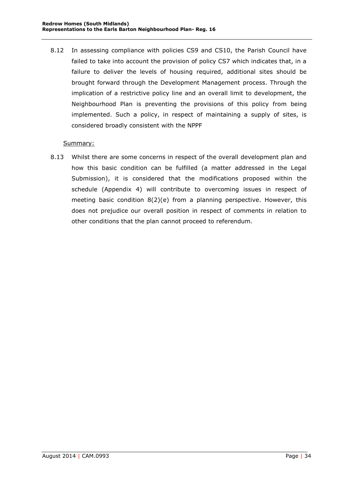8.12 In assessing compliance with policies CS9 and CS10, the Parish Council have failed to take into account the provision of policy CS7 which indicates that, in a failure to deliver the levels of housing required, additional sites should be brought forward through the Development Management process. Through the implication of a restrictive policy line and an overall limit to development, the Neighbourhood Plan is preventing the provisions of this policy from being implemented. Such a policy, in respect of maintaining a supply of sites, is considered broadly consistent with the NPPF

## Summary:

8.13 Whilst there are some concerns in respect of the overall development plan and how this basic condition can be fulfilled (a matter addressed in the Legal Submission), it is considered that the modifications proposed within the schedule (Appendix 4) will contribute to overcoming issues in respect of meeting basic condition 8(2)(e) from a planning perspective. However, this does not prejudice our overall position in respect of comments in relation to other conditions that the plan cannot proceed to referendum.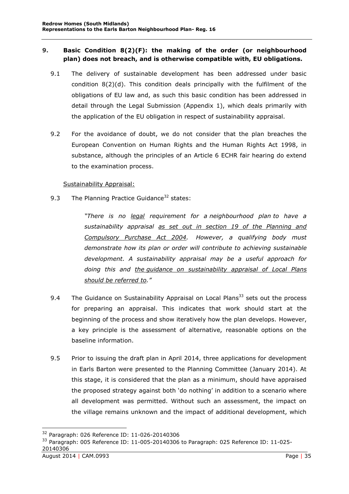## <span id="page-35-0"></span>**9. Basic Condition 8(2)(F): the making of the order (or neighbourhood plan) does not breach, and is otherwise compatible with, EU obligations.**

- 9.1 The delivery of sustainable development has been addressed under basic condition 8(2)(d). This condition deals principally with the fulfilment of the obligations of EU law and, as such this basic condition has been addressed in detail through the Legal Submission (Appendix 1), which deals primarily with the application of the EU obligation in respect of sustainability appraisal.
- 9.2 For the avoidance of doubt, we do not consider that the plan breaches the European Convention on Human Rights and the Human Rights Act 1998, in substance, although the principles of an Article 6 ECHR fair hearing do extend to the examination process.

### Sustainability Appraisal:

9.3 The Planning Practice Guidance<sup>32</sup> states:

*"There is no legal requirement for a [neighbourhood plan](http://planningguidance.planningportal.gov.uk/blog/guidance/neighbourhood-planning/what-is-neighbourhood-planning/) to have a sustainability appraisal as set out in section 19 of the Planning and Compulsory Purchase Act 2004. However, a qualifying body must demonstrate how its plan or order will contribute to [achieving sustainable](http://planningguidance.planningportal.gov.uk/blog/guidance/neighbourhood-planning/the-basic-conditions-that-a-draft-neighbourhood-plan-or-order-must-meet-if-it-is-to-proceed-to-referendum/sustainable-development/#paragraph_072)  [development.](http://planningguidance.planningportal.gov.uk/blog/guidance/neighbourhood-planning/the-basic-conditions-that-a-draft-neighbourhood-plan-or-order-must-meet-if-it-is-to-proceed-to-referendum/sustainable-development/#paragraph_072) A sustainability appraisal may be a useful approach for doing this and the [guidance on sustainability appraisal of Local Plans](http://planningguidance.planningportal.gov.uk/blog/guidance/strategic-environmental-assessment-and-sustainability-appraisal/sustainability-appraisal-requirements-for-local-plans/#paragraph_005) should be referred to."*

- 9.4 The Guidance on Sustainability Appraisal on Local Plans<sup>33</sup> sets out the process for preparing an appraisal. This indicates that work should start at the beginning of the process and show iteratively how the plan develops. However, a key principle is the assessment of alternative, reasonable options on the baseline information.
- 9.5 Prior to issuing the draft plan in April 2014, three applications for development in Earls Barton were presented to the Planning Committee (January 2014). At this stage, it is considered that the plan as a minimum, should have appraised the proposed strategy against both 'do nothing' in addition to a scenario where all development was permitted. Without such an assessment, the impact on the village remains unknown and the impact of additional development, which

<sup>32</sup> Paragraph: 026 Reference ID: 11-026-20140306

August 2014 | CAM.0993 Page | 35 <sup>33</sup> Paragraph: 005 Reference ID: 11-005-20140306 to Paragraph: 025 Reference ID: 11-025-20140306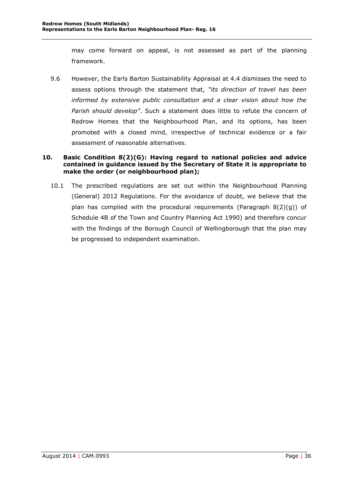may come forward on appeal, is not assessed as part of the planning framework.

9.6 However, the Earls Barton Sustainability Appraisal at 4.4 dismisses the need to assess options through the statement that, *"its direction of travel has been informed by extensive public consultation and a clear vision about how the Parish should develop"*. Such a statement does little to refute the concern of Redrow Homes that the Neighbourhood Plan, and its options, has been promoted with a closed mind, irrespective of technical evidence or a fair assessment of reasonable alternatives.

## <span id="page-36-0"></span>**10. Basic Condition 8(2)(G): Having regard to national policies and advice contained in guidance issued by the Secretary of State it is appropriate to make the order (or neighbourhood plan);**

10.1 The prescribed regulations are set out within the Neighbourhood Planning (General) 2012 Regulations. For the avoidance of doubt, we believe that the plan has complied with the procedural requirements (Paragraph 8(2)(g)) of Schedule 4B of the Town and Country Planning Act 1990) and therefore concur with the findings of the Borough Council of Wellingborough that the plan may be progressed to independent examination.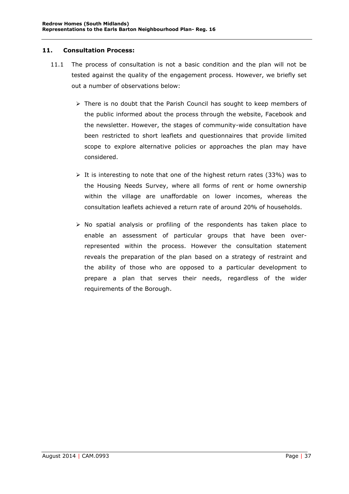#### <span id="page-37-0"></span>**11. Consultation Process:**

- 11.1 The process of consultation is not a basic condition and the plan will not be tested against the quality of the engagement process. However, we briefly set out a number of observations below:
	- $\triangleright$  There is no doubt that the Parish Council has sought to keep members of the public informed about the process through the website, Facebook and the newsletter. However, the stages of community-wide consultation have been restricted to short leaflets and questionnaires that provide limited scope to explore alternative policies or approaches the plan may have considered.
	- $\triangleright$  It is interesting to note that one of the highest return rates (33%) was to the Housing Needs Survey, where all forms of rent or home ownership within the village are unaffordable on lower incomes, whereas the consultation leaflets achieved a return rate of around 20% of households.
	- $\triangleright$  No spatial analysis or profiling of the respondents has taken place to enable an assessment of particular groups that have been overrepresented within the process. However the consultation statement reveals the preparation of the plan based on a strategy of restraint and the ability of those who are opposed to a particular development to prepare a plan that serves their needs, regardless of the wider requirements of the Borough.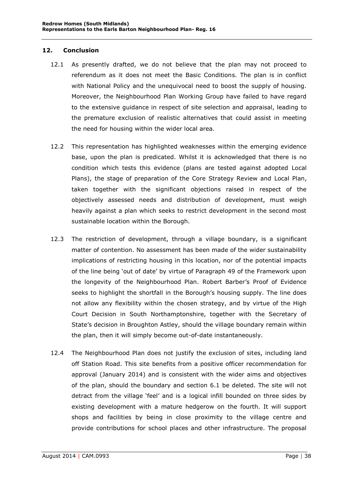#### <span id="page-38-0"></span>**12. Conclusion**

- 12.1 As presently drafted, we do not believe that the plan may not proceed to referendum as it does not meet the Basic Conditions. The plan is in conflict with National Policy and the unequivocal need to boost the supply of housing. Moreover, the Neighbourhood Plan Working Group have failed to have regard to the extensive guidance in respect of site selection and appraisal, leading to the premature exclusion of realistic alternatives that could assist in meeting the need for housing within the wider local area.
- 12.2 This representation has highlighted weaknesses within the emerging evidence base, upon the plan is predicated. Whilst it is acknowledged that there is no condition which tests this evidence (plans are tested against adopted Local Plans), the stage of preparation of the Core Strategy Review and Local Plan, taken together with the significant objections raised in respect of the objectively assessed needs and distribution of development, must weigh heavily against a plan which seeks to restrict development in the second most sustainable location within the Borough.
- 12.3 The restriction of development, through a village boundary, is a significant matter of contention. No assessment has been made of the wider sustainability implications of restricting housing in this location, nor of the potential impacts of the line being 'out of date' by virtue of Paragraph 49 of the Framework upon the longevity of the Neighbourhood Plan. Robert Barber's Proof of Evidence seeks to highlight the shortfall in the Borough's housing supply. The line does not allow any flexibility within the chosen strategy, and by virtue of the High Court Decision in South Northamptonshire, together with the Secretary of State's decision in Broughton Astley, should the village boundary remain within the plan, then it will simply become out-of-date instantaneously.
- 12.4 The Neighbourhood Plan does not justify the exclusion of sites, including land off Station Road. This site benefits from a positive officer recommendation for approval (January 2014) and is consistent with the wider aims and objectives of the plan, should the boundary and section 6.1 be deleted. The site will not detract from the village 'feel' and is a logical infill bounded on three sides by existing development with a mature hedgerow on the fourth. It will support shops and facilities by being in close proximity to the village centre and provide contributions for school places and other infrastructure. The proposal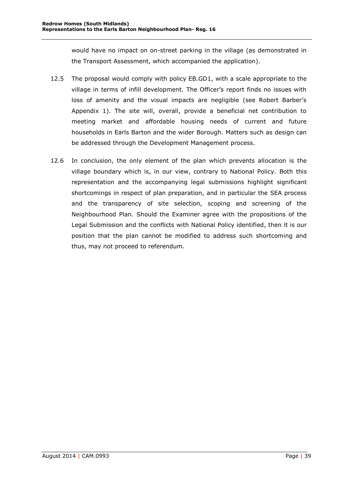would have no impact on on-street parking in the village (as demonstrated in the Transport Assessment, which accompanied the application).

- 12.5 The proposal would comply with policy EB.GD1, with a scale appropriate to the village in terms of infill development. The Officer's report finds no issues with loss of amenity and the visual impacts are negligible (see Robert Barber's Appendix 1). The site will, overall, provide a beneficial net contribution to meeting market and affordable housing needs of current and future households in Earls Barton and the wider Borough. Matters such as design can be addressed through the Development Management process.
- 12.6 In conclusion, the only element of the plan which prevents allocation is the village boundary which is, in our view, contrary to National Policy. Both this representation and the accompanying legal submissions highlight significant shortcomings in respect of plan preparation, and in particular the SEA process and the transparency of site selection, scoping and screening of the Neighbourhood Plan. Should the Examiner agree with the propositions of the Legal Submission and the conflicts with National Policy identified, then it is our position that the plan cannot be modified to address such shortcoming and thus, may not proceed to referendum.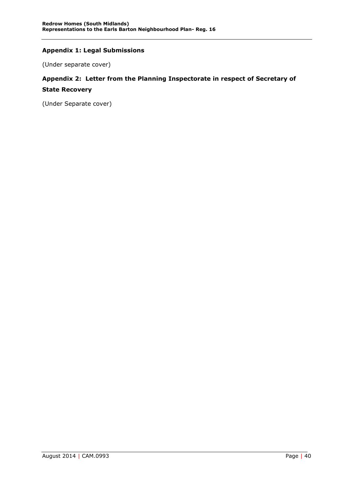## <span id="page-40-0"></span>**Appendix 1: Legal Submissions**

(Under separate cover)

## <span id="page-40-1"></span>**Appendix 2: Letter from the Planning Inspectorate in respect of Secretary of State Recovery**

(Under Separate cover)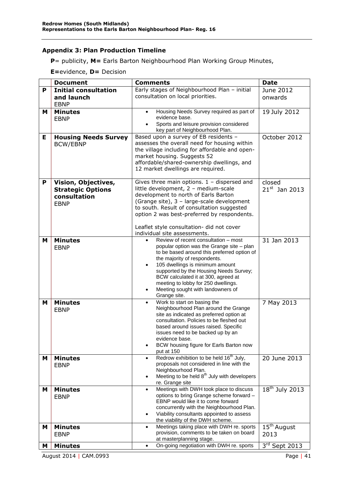## <span id="page-41-0"></span>**Appendix 3: Plan Production Timeline**

**P**= publicity, **M=** Earls Barton Neighbourhood Plan Working Group Minutes,

**E=**evidence, **D=** Decision

|   | <b>Document</b>               | <b>Comments</b>                                                                          | <b>Date</b>             |
|---|-------------------------------|------------------------------------------------------------------------------------------|-------------------------|
| P | <b>Initial consultation</b>   | Early stages of Neighbourhood Plan - initial                                             | June 2012               |
|   | and launch                    | consultation on local priorities.                                                        | onwards                 |
|   | <b>EBNP</b>                   |                                                                                          |                         |
| м | <b>Minutes</b>                | Housing Needs Survey required as part of<br>$\bullet$                                    | 19 July 2012            |
|   | <b>EBNP</b>                   | evidence base.                                                                           |                         |
|   |                               | Sports and leisure provision considered<br>$\bullet$                                     |                         |
|   |                               | key part of Neighbourhood Plan.<br>Based upon a survey of EB residents -                 |                         |
| Е | <b>Housing Needs Survey</b>   | assesses the overall need for housing within                                             | October 2012            |
|   | <b>BCW/EBNP</b>               | the village including for affordable and open-                                           |                         |
|   |                               | market housing. Suggests 52                                                              |                         |
|   |                               | affordable/shared-ownership dwellings, and                                               |                         |
|   |                               | 12 market dwellings are required.                                                        |                         |
|   |                               |                                                                                          |                         |
| P | Vision, Objectives,           | Gives three main options. $1 -$ dispersed and                                            | closed                  |
|   | <b>Strategic Options</b>      | little development, 2 - medium-scale                                                     | $21^{st}$ Jan 2013      |
|   | consultation                  | development to north of Earls Barton                                                     |                         |
|   | <b>EBNP</b>                   | (Grange site), 3 - large-scale development<br>to south. Result of consultation suggested |                         |
|   |                               | option 2 was best-preferred by respondents.                                              |                         |
|   |                               |                                                                                          |                         |
|   |                               | Leaflet style consultation- did not cover                                                |                         |
|   |                               | individual site assessments.                                                             |                         |
| M | <b>Minutes</b>                | Review of recent consultation - most<br>$\bullet$                                        | 31 Jan 2013             |
|   | <b>EBNP</b>                   | popular option was the Grange site - plan                                                |                         |
|   |                               | to be based around this preferred option of<br>the majority of respondents.              |                         |
|   |                               | 105 dwellings is minimum amount<br>$\bullet$                                             |                         |
|   |                               | supported by the Housing Needs Survey;                                                   |                         |
|   |                               | BCW calculated it at 300, agreed at                                                      |                         |
|   |                               | meeting to lobby for 250 dwellings.                                                      |                         |
|   |                               | Meeting sought with landowners of<br>$\bullet$                                           |                         |
|   |                               | Grange site.<br>Work to start on basing the                                              |                         |
| M | <b>Minutes</b><br><b>EBNP</b> | $\bullet$<br>Neighbourhood Plan around the Grange                                        | 7 May 2013              |
|   |                               | site as indicated as preferred option at                                                 |                         |
|   |                               | consultation. Policies to be fleshed out                                                 |                         |
|   |                               | based around issues raised. Specific                                                     |                         |
|   |                               | issues need to be backed up by an                                                        |                         |
|   |                               | evidence base.<br>BCW housing figure for Earls Barton now                                |                         |
|   |                               | put at 150                                                                               |                         |
| M | <b>Minutes</b>                | Redrow exhibition to be held 16 <sup>th</sup> July,<br>$\bullet$                         | 20 June 2013            |
|   | <b>EBNP</b>                   | proposals not considered in line with the                                                |                         |
|   |                               | Neighbourhood Plan.                                                                      |                         |
|   |                               | Meeting to be held 8 <sup>th</sup> July with developers<br>$\bullet$                     |                         |
| M | <b>Minutes</b>                | re. Grange site<br>Meetings with DWH took place to discuss<br>$\bullet$                  | $18th$ July 2013        |
|   | <b>EBNP</b>                   | options to bring Grange scheme forward -                                                 |                         |
|   |                               | EBNP would like it to come forward                                                       |                         |
|   |                               | concurrently with the Neighbourhood Plan.                                                |                         |
|   |                               | Viability consultants appointed to assess<br>$\bullet$                                   |                         |
|   |                               | the viability of the DWH scheme.                                                         |                         |
| M | <b>Minutes</b>                | Meetings taking place with DWH re. sports<br>$\bullet$                                   | $15^{\text{th}}$ August |
|   | <b>EBNP</b>                   | provision, comments to be taken on board<br>at masterplanning stage.                     | 2013                    |
| M | <b>Minutes</b>                | On-going negotiation with DWH re. sports<br>$\bullet$                                    | $3rd$ Sept 2013         |
|   |                               |                                                                                          |                         |

August 2014 | CAM.0993 Page | 41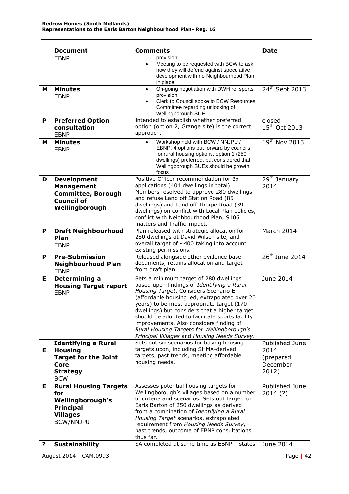|   | <b>Document</b>                                                                                                      | <b>Comments</b>                                                                                                                                                                                                                                                                                                                                                                                                                                                         | <b>Date</b>                                              |
|---|----------------------------------------------------------------------------------------------------------------------|-------------------------------------------------------------------------------------------------------------------------------------------------------------------------------------------------------------------------------------------------------------------------------------------------------------------------------------------------------------------------------------------------------------------------------------------------------------------------|----------------------------------------------------------|
|   | <b>EBNP</b>                                                                                                          | provision.<br>Meeting to be requested with BCW to ask<br>$\bullet$<br>how they will defend against speculative<br>development with no Neighbourhood Plan<br>in place.                                                                                                                                                                                                                                                                                                   |                                                          |
| м | <b>Minutes</b><br><b>EBNP</b>                                                                                        | On-going negotiation with DWH re. sports<br>$\bullet$<br>provision.<br>Clerk to Council spoke to BCW Resources<br>Committee regarding unlocking of<br>Wellingborough SUE                                                                                                                                                                                                                                                                                                | $24th$ Sept 2013                                         |
| P | <b>Preferred Option</b><br>consultation<br><b>EBNP</b>                                                               | Intended to establish whether preferred<br>option (option 2, Grange site) is the correct<br>approach.                                                                                                                                                                                                                                                                                                                                                                   | closed<br>15 <sup>th</sup> Oct 2013                      |
| M | <b>Minutes</b><br><b>EBNP</b>                                                                                        | Workshop held with BCW / NNJPU /<br>EBNP. 4 options put forward by councils<br>for rural housing options, option 1 (250<br>dwellings) preferred, but considered that<br>Wellingborough SUEs should be growth<br>focus                                                                                                                                                                                                                                                   | $19th$ Nov 2013                                          |
| D | <b>Development</b><br><b>Management</b><br><b>Committee, Borough</b><br><b>Council of</b><br>Wellingborough          | Positive Officer recommendation for 3x<br>applications (404 dwellings in total).<br>Members resolved to approve 280 dwellings<br>and refuse Land off Station Road (85<br>dwellings) and Land off Thorpe Road (39<br>dwellings) on conflict with Local Plan policies,<br>conflict with Neighbourhood Plan, S106<br>matters and Traffic impact.                                                                                                                           | 29 <sup>th</sup> January<br>2014                         |
| P | <b>Draft Neighbourhood</b><br>Plan<br><b>EBNP</b>                                                                    | Plan released with strategic allocation for<br>280 dwellings at David Wilson site, and<br>overall target of ~400 taking into account<br>existing permissions.                                                                                                                                                                                                                                                                                                           | March 2014                                               |
| P | <b>Pre-Submission</b><br><b>Neighbourhood Plan</b><br><b>EBNP</b>                                                    | Released alongside other evidence base<br>documents, retains allocation and target<br>from draft plan.                                                                                                                                                                                                                                                                                                                                                                  | 26 <sup>th</sup> June 2014                               |
| Е | Determining a<br><b>Housing Target report</b><br><b>EBNP</b>                                                         | Sets a minimum target of 280 dwellings<br>based upon findings of Identifying a Rural<br>Housing Target. Considers Scenario E<br>(affordable housing led, extrapolated over 20<br>years) to be most appropriate target (170<br>dwellings) but considers that a higher target<br>should be adopted to facilitate sports facility<br>improvements. Also considers finding of<br>Rural Housing Targets for Wellingborough's<br>Principal Villages and Housing Needs Survey. | June 2014                                                |
| Е | <b>Identifying a Rural</b><br><b>Housing</b><br><b>Target for the Joint</b><br>Core<br><b>Strategy</b><br><b>BCW</b> | Sets out six scenarios for basing housing<br>targets upon, including SHMA-derived<br>targets, past trends, meeting affordable<br>housing needs.                                                                                                                                                                                                                                                                                                                         | Published June<br>2014<br>(prepared<br>December<br>2012) |
| Е | <b>Rural Housing Targets</b><br>for<br>Wellingborough's<br><b>Principal</b><br><b>Villages</b><br><b>BCW/NNJPU</b>   | Assesses potential housing targets for<br>Wellingborough's villages based on a number<br>of criteria and scenarios. Sets out target for<br>Earls Barton of 250 dwellings as derived<br>from a combination of Identifying a Rural<br>Housing Target scenarios, extrapolated<br>requirement from Housing Needs Survey,<br>past trends, outcome of EBNP consultations<br>thus far.                                                                                         | Published June<br>2014(?)                                |
| ? | <b>Sustainability</b>                                                                                                | SA completed at same time as EBNP - states                                                                                                                                                                                                                                                                                                                                                                                                                              | June 2014                                                |

August 2014 | CAM.0993 Page | 42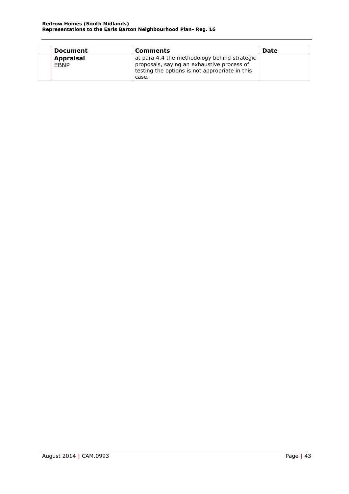| <b>Document</b>                 | <b>Comments</b>                                                                                                                                       | Date |
|---------------------------------|-------------------------------------------------------------------------------------------------------------------------------------------------------|------|
| <b>Appraisal</b><br><b>EBNP</b> | at para 4.4 the methodology behind strategic<br>proposals, saying an exhaustive process of<br>testing the options is not appropriate in this<br>case. |      |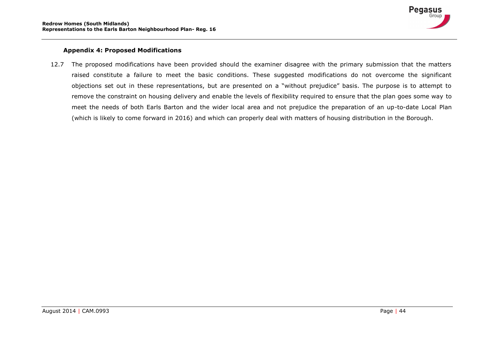

### **Appendix 4: Proposed Modifications**

<span id="page-44-0"></span>12.7 The proposed modifications have been provided should the examiner disagree with the primary submission that the matters raised constitute a failure to meet the basic conditions. These suggested modifications do not overcome the significant objections set out in these representations, but are presented on a "without prejudice" basis. The purpose is to attempt to remove the constraint on housing delivery and enable the levels of flexibility required to ensure that the plan goes some way to meet the needs of both Earls Barton and the wider local area and not prejudice the preparation of an up-to-date Local Plan (which is likely to come forward in 2016) and which can properly deal with matters of housing distribution in the Borough.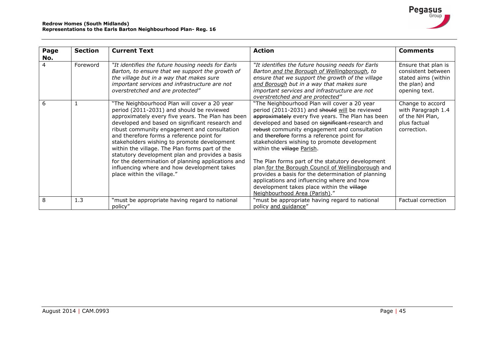| Page<br>No. | <b>Section</b> | <b>Current Text</b>                                                                                                                                                                                                                                                                                                                                                                                                                                                                                                                                                                   | <b>Action</b>                                                                                                                                                                                                                                                                                                                                                                                                                                                                                                                                                                                                                                                                 | <b>Comments</b>                                                                                    |
|-------------|----------------|---------------------------------------------------------------------------------------------------------------------------------------------------------------------------------------------------------------------------------------------------------------------------------------------------------------------------------------------------------------------------------------------------------------------------------------------------------------------------------------------------------------------------------------------------------------------------------------|-------------------------------------------------------------------------------------------------------------------------------------------------------------------------------------------------------------------------------------------------------------------------------------------------------------------------------------------------------------------------------------------------------------------------------------------------------------------------------------------------------------------------------------------------------------------------------------------------------------------------------------------------------------------------------|----------------------------------------------------------------------------------------------------|
|             | Foreword       | "It identifies the future housing needs for Earls<br>Barton, to ensure that we support the growth of<br>the village but in a way that makes sure<br>important services and infrastructure are not<br>overstretched and are protected"                                                                                                                                                                                                                                                                                                                                                 | "It identifies the future housing needs for Earls<br>Barton and the Borough of Wellingborough, to<br>ensure that we support the growth of the village<br>and Borough but in a way that makes sure<br>important services and infrastructure are not<br>overstretched and are protected"                                                                                                                                                                                                                                                                                                                                                                                        | Ensure that plan is<br>consistent between<br>stated aims (within<br>the plan) and<br>opening text. |
| 6           |                | "The Neighbourhood Plan will cover a 20 year<br>period (2011-2031) and should be reviewed<br>approximately every five years. The Plan has been<br>developed and based on significant research and<br>ribust community engagement and consultation<br>and therefore forms a reference point for<br>stakeholders wishing to promote development<br>within the village. The Plan forms part of the<br>statutory development plan and provides a basis<br>for the determination of planning applications and<br>influencing where and how development takes<br>place within the village." | "The Neighbourhood Plan will cover a 20 year<br>period (2011-2031) and should will be reviewed<br>approximately every five years. The Plan has been<br>developed and based on significant-research and<br>robust community engagement and consultation<br>and therefore forms a reference point for<br>stakeholders wishing to promote development<br>within the village Parish.<br>The Plan forms part of the statutory development<br>plan for the Borough Council of Wellingborough and<br>provides a basis for the determination of planning<br>applications and influencing where and how<br>development takes place within the village<br>Neighbourhood Area (Parish)." | Change to accord<br>with Paragraph 1.4<br>of the NH Plan,<br>plus factual<br>correction.           |
| 8           | 1.3            | "must be appropriate having regard to national<br>policy"                                                                                                                                                                                                                                                                                                                                                                                                                                                                                                                             | "must be appropriate having regard to national<br>policy and guidance"                                                                                                                                                                                                                                                                                                                                                                                                                                                                                                                                                                                                        | Factual correction                                                                                 |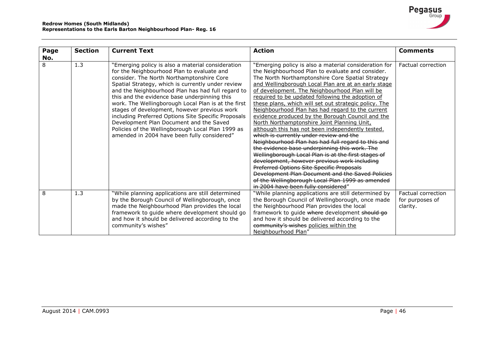| Page         | <b>Section</b> | <b>Current Text</b>                                                                                                                                                                                                                                                                                                                                                                                                                                                                                                                                                                                                 | <b>Action</b>                                                                                                                                                                                                                                                                                                                                                                                                                                                                                                                                                                                                                                                                                                                                                                                                                                                                                                                                                                                                                                       | <b>Comments</b>                                   |
|--------------|----------------|---------------------------------------------------------------------------------------------------------------------------------------------------------------------------------------------------------------------------------------------------------------------------------------------------------------------------------------------------------------------------------------------------------------------------------------------------------------------------------------------------------------------------------------------------------------------------------------------------------------------|-----------------------------------------------------------------------------------------------------------------------------------------------------------------------------------------------------------------------------------------------------------------------------------------------------------------------------------------------------------------------------------------------------------------------------------------------------------------------------------------------------------------------------------------------------------------------------------------------------------------------------------------------------------------------------------------------------------------------------------------------------------------------------------------------------------------------------------------------------------------------------------------------------------------------------------------------------------------------------------------------------------------------------------------------------|---------------------------------------------------|
| No.          |                |                                                                                                                                                                                                                                                                                                                                                                                                                                                                                                                                                                                                                     |                                                                                                                                                                                                                                                                                                                                                                                                                                                                                                                                                                                                                                                                                                                                                                                                                                                                                                                                                                                                                                                     |                                                   |
| $\mathsf{R}$ | 1.3            | "Emerging policy is also a material consideration<br>for the Neighbourhood Plan to evaluate and<br>consider. The North Northamptonshire Core<br>Spatial Strategy, which is currently under review<br>and the Neighbourhood Plan has had full regard to<br>this and the evidence base underpinning this<br>work. The Wellingborough Local Plan is at the first<br>stages of development, however previous work<br>including Preferred Options Site Specific Proposals<br>Development Plan Document and the Saved<br>Policies of the Wellingborough Local Plan 1999 as<br>amended in 2004 have been fully considered" | "Emerging policy is also a material consideration for<br>the Neighbourhood Plan to evaluate and consider.<br>The North Northamptonshire Core Spatial Strategy<br>and Wellingborough Local Plan are at an early stage<br>of development. The Neighbourhood Plan will be<br>required to be updated following the adoption of<br>these plans, which will set out strategic policy. The<br>Neighbourhood Plan has had regard to the current<br>evidence produced by the Borough Council and the<br>North Northamptonshire Joint Planning Unit,<br>although this has not been independently tested.<br>which is currently under review and the<br>Neighbourhood Plan has had full regard to this and<br>the evidence base underpinning this work. The<br>Wellingborough Local Plan is at the first stages of<br>development, however previous work including<br>Preferred Options Site Specific Proposals<br>Development Plan Document and the Saved Policies<br>of the Wellingborough Local Plan 1999 as amended<br>in 2004 have been fully considered" | Factual correction                                |
| 8            | 1.3            | "While planning applications are still determined<br>by the Borough Council of Wellingborough, once<br>made the Neighbourhood Plan provides the local<br>framework to guide where development should go<br>and how it should be delivered according to the<br>community's wishes"                                                                                                                                                                                                                                                                                                                                   | "While planning applications are still determined by<br>the Borough Council of Wellingborough, once made<br>the Neighbourhood Plan provides the local<br>framework to guide where development should go<br>and how it should be delivered according to the<br>community's wishes policies within the<br>Neighbourhood Plan"                                                                                                                                                                                                                                                                                                                                                                                                                                                                                                                                                                                                                                                                                                                         | Factual correction<br>for purposes of<br>clarity. |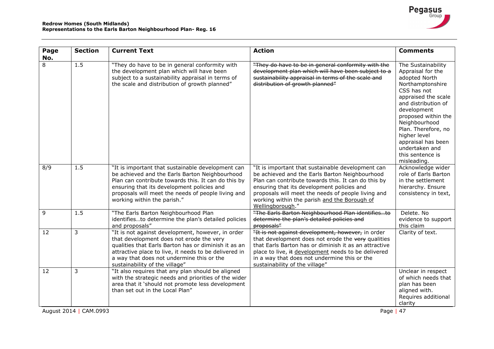| Page<br>No. | <b>Section</b>              | <b>Current Text</b>                                                                                                                                                                                                                                                                           | <b>Action</b>                                                                                                                                                                                                                                                                                                                      | <b>Comments</b>                                                                                                                                                                                                                                                                                                    |
|-------------|-----------------------------|-----------------------------------------------------------------------------------------------------------------------------------------------------------------------------------------------------------------------------------------------------------------------------------------------|------------------------------------------------------------------------------------------------------------------------------------------------------------------------------------------------------------------------------------------------------------------------------------------------------------------------------------|--------------------------------------------------------------------------------------------------------------------------------------------------------------------------------------------------------------------------------------------------------------------------------------------------------------------|
| 8           | 1.5                         | "They do have to be in general conformity with<br>the development plan which will have been<br>subject to a sustainability appraisal in terms of<br>the scale and distribution of growth planned"                                                                                             | "They do have to be in general conformity with the<br>development plan which will have been subject to a<br>sustainability appraisal in terms of the scale and<br>distribution of growth planned"                                                                                                                                  | The Sustainability<br>Appraisal for the<br>adopted North<br>Northamptonshire<br>CSS has not<br>appraised the scale<br>and distribution of<br>development<br>proposed within the<br>Neighbourhood<br>Plan. Therefore, no<br>higher level<br>appraisal has been<br>undertaken and<br>this sentence is<br>misleading. |
| 8/9         | 1.5                         | "It is important that sustainable development can<br>be achieved and the Earls Barton Neighbourhood<br>Plan can contribute towards this. It can do this by<br>ensuring that its development policies and<br>proposals will meet the needs of people living and<br>working within the parish." | "It is important that sustainable development can<br>be achieved and the Earls Barton Neighbourhood<br>Plan can contribute towards this. It can do this by<br>ensuring that its development policies and<br>proposals will meet the needs of people living and<br>working within the parish and the Borough of<br>Wellingborough." | Acknowledge wider<br>role of Earls Barton<br>in the settlement<br>hierarchy. Ensure<br>consistency in text,                                                                                                                                                                                                        |
| 9           | 1.5                         | "The Earls Barton Neighbourhood Plan<br>identifiesto determine the plan's detailed policies<br>and proposals"                                                                                                                                                                                 | "The Earls Barton Neighbourhood Plan identifiesto<br>determine the plan's detailed policies and<br>proposals"                                                                                                                                                                                                                      | Delete. No<br>evidence to support<br>this claim                                                                                                                                                                                                                                                                    |
| 12          | 3                           | "It is not against development, however, in order<br>that development does not erode the very<br>qualities that Earls Barton has or diminish it as an<br>attractive place to live, it needs to be delivered in<br>a way that does not undermine this or the<br>sustainability of the village" | "It is not against development, however, in order<br>that development does not erode the very qualities<br>that Earls Barton has or diminish it as an attractive<br>place to live, it development needs to be delivered<br>in a way that does not undermine this or the<br>sustainability of the village"                          | Clarity of text.                                                                                                                                                                                                                                                                                                   |
| 12          | 3<br>August 2014   CAM.0993 | "It also requires that any plan should be aligned<br>with the strategic needs and priorities of the wider<br>area that it 'should not promote less development<br>than set out in the Local Plan"                                                                                             | Page                                                                                                                                                                                                                                                                                                                               | Unclear in respect<br>of which needs that<br>plan has been<br>aligned with.<br>Requires additional<br>clarity<br>47                                                                                                                                                                                                |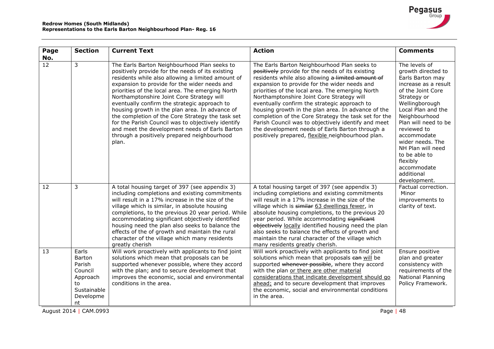

| Page                   | <b>Section</b>                                                                           | <b>Current Text</b>                                                                                                                                                                                                                                                                                                                                                                                                                                                                                                                                                                                                          | <b>Action</b>                                                                                                                                                                                                                                                                                                                                                                                                                                                                                                                                                                                                                       | <b>Comments</b>                                                                                                                                                                                                                                                                                                                                       |
|------------------------|------------------------------------------------------------------------------------------|------------------------------------------------------------------------------------------------------------------------------------------------------------------------------------------------------------------------------------------------------------------------------------------------------------------------------------------------------------------------------------------------------------------------------------------------------------------------------------------------------------------------------------------------------------------------------------------------------------------------------|-------------------------------------------------------------------------------------------------------------------------------------------------------------------------------------------------------------------------------------------------------------------------------------------------------------------------------------------------------------------------------------------------------------------------------------------------------------------------------------------------------------------------------------------------------------------------------------------------------------------------------------|-------------------------------------------------------------------------------------------------------------------------------------------------------------------------------------------------------------------------------------------------------------------------------------------------------------------------------------------------------|
| No.<br>$\overline{12}$ | 3                                                                                        | The Earls Barton Neighbourhood Plan seeks to<br>positively provide for the needs of its existing<br>residents while also allowing a limited amount of<br>expansion to provide for the wider needs and<br>priorities of the local area. The emerging North<br>Northamptonshire Joint Core Strategy will<br>eventually confirm the strategic approach to<br>housing growth in the plan area. In advance of<br>the completion of the Core Strategy the task set<br>for the Parish Council was to objectively identify<br>and meet the development needs of Earls Barton<br>through a positively prepared neighbourhood<br>plan. | The Earls Barton Neighbourhood Plan seeks to<br>positively provide for the needs of its existing<br>residents while also allowing a limited amount of<br>expansion to provide for the wider needs and<br>priorities of the local area. The emerging North<br>Northamptonshire Joint Core Strategy will<br>eventually confirm the strategic approach to<br>housing growth in the plan area. In advance of the<br>completion of the Core Strategy the task set for the<br>Parish Council was to objectively identify and meet<br>the development needs of Earls Barton through a<br>positively prepared, flexible neighbourhood plan. | The levels of<br>growth directed to<br>Earls Barton may<br>increase as a result<br>of the Joint Core<br>Strategy or<br>Wellingborough<br>Local Plan and the<br>Neighbourhood<br>Plan will need to be<br>reviewed to<br>accommodate<br>wider needs. The<br>NH Plan will need<br>to be able to<br>flexibly<br>accommodate<br>additional<br>development. |
| 12                     | 3                                                                                        | A total housing target of 397 (see appendix 3)<br>including completions and existing commitments<br>will result in a 17% increase in the size of the<br>village which is similar, in absolute housing<br>completions, to the previous 20 year period. While<br>accommodating significant objectively identified<br>housing need the plan also seeks to balance the<br>effects of the of growth and maintain the rural<br>character of the village which many residents<br>greatly cherish                                                                                                                                    | A total housing target of 397 (see appendix 3)<br>including completions and existing commitments<br>will result in a 17% increase in the size of the<br>village which is similar 63 dwellings fewer, in<br>absolute housing completions, to the previous 20<br>year period. While accommodating significant<br>objectively locally identified housing need the plan<br>also seeks to balance the effects of growth and<br>maintain the rural character of the village which<br>many residents greatly cherish.                                                                                                                      | Factual correction.<br>Minor<br>improvements to<br>clarity of text.                                                                                                                                                                                                                                                                                   |
| 13                     | Earls<br>Barton<br>Parish<br>Council<br>Approach<br>to<br>Sustainable<br>Developme<br>nt | Will work proactively with applicants to find joint<br>solutions which mean that proposals can be<br>supported whenever possible, where they accord<br>with the plan; and to secure development that<br>improves the economic, social and environmental<br>conditions in the area.                                                                                                                                                                                                                                                                                                                                           | Will work proactively with applicants to find joint<br>solutions which mean that proposals can will be<br>supported whenever possible, where they accord<br>with the plan or there are other material<br>considerations that indicate development should go<br>ahead; and to secure development that improves<br>the economic, social and environmental conditions<br>in the area.                                                                                                                                                                                                                                                  | Ensure positive<br>plan and greater<br>consistency with<br>requirements of the<br>National Planning<br>Policy Framework.                                                                                                                                                                                                                              |

August 2014 | CAM.0993 Page | 48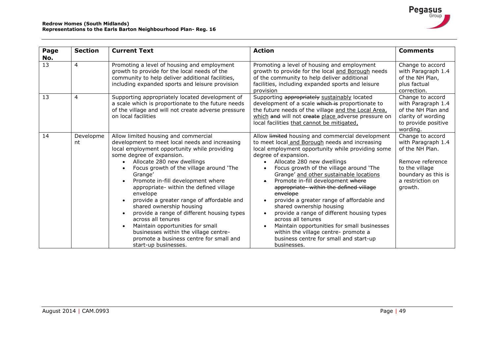| Page | <b>Section</b>  | <b>Current Text</b>                                                                                                                                                                                                                                                                                                                                                                                                                                                                                                                                                                                                                              | <b>Action</b>                                                                                                                                                                                                                                                                                                                                                                                                                                                                                                                                                                                                                                                                                                                                  | <b>Comments</b>                                                                                                                                       |
|------|-----------------|--------------------------------------------------------------------------------------------------------------------------------------------------------------------------------------------------------------------------------------------------------------------------------------------------------------------------------------------------------------------------------------------------------------------------------------------------------------------------------------------------------------------------------------------------------------------------------------------------------------------------------------------------|------------------------------------------------------------------------------------------------------------------------------------------------------------------------------------------------------------------------------------------------------------------------------------------------------------------------------------------------------------------------------------------------------------------------------------------------------------------------------------------------------------------------------------------------------------------------------------------------------------------------------------------------------------------------------------------------------------------------------------------------|-------------------------------------------------------------------------------------------------------------------------------------------------------|
| No.  |                 |                                                                                                                                                                                                                                                                                                                                                                                                                                                                                                                                                                                                                                                  |                                                                                                                                                                                                                                                                                                                                                                                                                                                                                                                                                                                                                                                                                                                                                |                                                                                                                                                       |
| 13   | $\overline{4}$  | Promoting a level of housing and employment<br>growth to provide for the local needs of the<br>community to help deliver additional facilities,<br>including expanded sports and leisure provision                                                                                                                                                                                                                                                                                                                                                                                                                                               | Promoting a level of housing and employment<br>growth to provide for the local and Borough needs<br>of the community to help deliver additional<br>facilities, including expanded sports and leisure<br>provision                                                                                                                                                                                                                                                                                                                                                                                                                                                                                                                              | Change to accord<br>with Paragraph 1.4<br>of the NH Plan,<br>plus factual<br>correction.                                                              |
| 13   | 4               | Supporting appropriately located development of<br>a scale which is proportionate to the future needs<br>of the village and will not create adverse pressure<br>on local facilities                                                                                                                                                                                                                                                                                                                                                                                                                                                              | Supporting appropriately sustainably located<br>development of a scale which is proportionate to<br>the future needs of the village and the Local Area,<br>which and will not create place adverse pressure on<br>local facilities that cannot be mitigated,                                                                                                                                                                                                                                                                                                                                                                                                                                                                                   | Change to accord<br>with Paragraph 1.4<br>of the NH Plan and<br>clarity of wording<br>to provide positive<br>wording.                                 |
| 14   | Developme<br>nt | Allow limited housing and commercial<br>development to meet local needs and increasing<br>local employment opportunity while providing<br>some degree of expansion.<br>Allocate 280 new dwellings<br>Focus growth of the village around 'The<br>Grange'<br>Promote in-fill development where<br>appropriate- within the defined village<br>envelope<br>provide a greater range of affordable and<br>shared ownership housing<br>provide a range of different housing types<br>across all tenures<br>Maintain opportunities for small<br>businesses within the village centre-<br>promote a business centre for small and<br>start-up businesses. | Allow <b>limited</b> housing and commercial development<br>to meet local and Borough needs and increasing<br>local employment opportunity while providing some<br>degree of expansion.<br>Allocate 280 new dwellings<br>Focus growth of the village around 'The<br>$\bullet$<br>Grange' and other sustainable locations<br>Promote in-fill development where<br>٠<br>appropriate-within the defined village<br>envelope<br>provide a greater range of affordable and<br>$\bullet$<br>shared ownership housing<br>provide a range of different housing types<br>across all tenures<br>Maintain opportunities for small businesses<br>$\bullet$<br>within the village centre- promote a<br>business centre for small and start-up<br>businesses. | Change to accord<br>with Paragraph 1.4<br>of the NH Plan.<br>Remove reference<br>to the village<br>boundary as this is<br>a restriction on<br>growth. |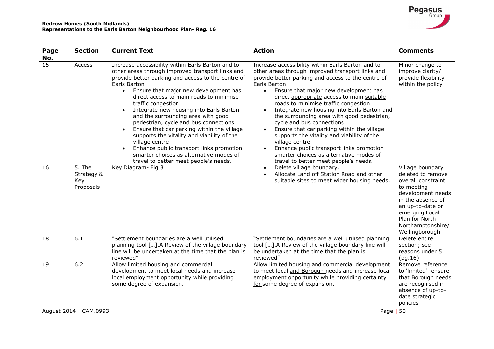| $\overline{15}$<br>Increase accessibility within Earls Barton and to<br>Increase accessibility within Earls Barton and to<br>Access<br>other areas through improved transport links and<br>other areas through improved transport links and<br>provide better parking and access to the centre of<br>provide better parking and access to the centre of<br>Earls Barton<br>Earls Barton<br>Ensure that major new development has<br>Ensure that major new development has<br>$\bullet$<br>$\bullet$<br>direct access to main roads to minimise<br>direct appropriate access to main suitable<br>traffic congestion<br>roads to minimise traffic congestion<br>Integrate new housing into Earls Barton<br>Integrate new housing into Earls Barton and<br>$\bullet$<br>and the surrounding area with good<br>the surrounding area with good pedestrian,<br>pedestrian, cycle and bus connections<br>cycle and bus connections<br>Ensure that car parking within the village<br>Ensure that car parking within the village<br>$\bullet$<br>supports the vitality and viability of the<br>supports the vitality and viability of the<br>village centre<br>village centre<br>Enhance public transport links promotion<br>Enhance public transport links promotion<br>smarter choices as alternative modes of<br>smarter choices as alternative modes of<br>travel to better meet people's needs.<br>travel to better meet people's needs.<br>$5.$ The<br>Key Diagram- Fig 3<br>Delete village boundary.<br>16<br>$\bullet$<br>Allocate Land off Station Road and other<br>Strategy &<br>$\bullet$<br>Key<br>suitable sites to meet wider housing needs.<br>Proposals<br>"Settlement boundaries are a well utilised<br>"Settlement boundaries are a well utilised planning<br>18<br>6.1<br>tool []. A Review of the village boundary line will<br>planning tool []. A Review of the village boundary<br>line will be undertaken at the time that the plan is<br>be undertaken at the time that the plan is<br>reviewed"<br>reviewed"<br>(pg.16)<br>6.2<br>Allow limited housing and commercial<br>Allow <b>limited</b> housing and commercial development<br>19<br>development to meet local needs and increase<br>to meet local and Borough needs and increase local<br>local employment opportunity while providing<br>employment opportunity while providing certainty | <b>Section</b><br>Page<br>No. | <b>Current Text</b>       | <b>Action</b>                 | <b>Comments</b>                                                                                                                                                                                |
|---------------------------------------------------------------------------------------------------------------------------------------------------------------------------------------------------------------------------------------------------------------------------------------------------------------------------------------------------------------------------------------------------------------------------------------------------------------------------------------------------------------------------------------------------------------------------------------------------------------------------------------------------------------------------------------------------------------------------------------------------------------------------------------------------------------------------------------------------------------------------------------------------------------------------------------------------------------------------------------------------------------------------------------------------------------------------------------------------------------------------------------------------------------------------------------------------------------------------------------------------------------------------------------------------------------------------------------------------------------------------------------------------------------------------------------------------------------------------------------------------------------------------------------------------------------------------------------------------------------------------------------------------------------------------------------------------------------------------------------------------------------------------------------------------------------------------------------------------------------------------------------------------------------------------------------------------------------------------------------------------------------------------------------------------------------------------------------------------------------------------------------------------------------------------------------------------------------------------------------------------------------------------------------------------------------------------------------------------------------------|-------------------------------|---------------------------|-------------------------------|------------------------------------------------------------------------------------------------------------------------------------------------------------------------------------------------|
|                                                                                                                                                                                                                                                                                                                                                                                                                                                                                                                                                                                                                                                                                                                                                                                                                                                                                                                                                                                                                                                                                                                                                                                                                                                                                                                                                                                                                                                                                                                                                                                                                                                                                                                                                                                                                                                                                                                                                                                                                                                                                                                                                                                                                                                                                                                                                                     |                               |                           |                               | Minor change to<br>improve clarity/<br>provide flexibility<br>within the policy<br>Village boundary                                                                                            |
|                                                                                                                                                                                                                                                                                                                                                                                                                                                                                                                                                                                                                                                                                                                                                                                                                                                                                                                                                                                                                                                                                                                                                                                                                                                                                                                                                                                                                                                                                                                                                                                                                                                                                                                                                                                                                                                                                                                                                                                                                                                                                                                                                                                                                                                                                                                                                                     |                               |                           |                               | deleted to remove<br>overall constraint<br>to meeting<br>development needs<br>in the absence of<br>an up-to-date or<br>emerging Local<br>Plan for North<br>Northamptonshire/<br>Wellingborough |
|                                                                                                                                                                                                                                                                                                                                                                                                                                                                                                                                                                                                                                                                                                                                                                                                                                                                                                                                                                                                                                                                                                                                                                                                                                                                                                                                                                                                                                                                                                                                                                                                                                                                                                                                                                                                                                                                                                                                                                                                                                                                                                                                                                                                                                                                                                                                                                     |                               |                           |                               | Delete entire<br>section; see<br>reasons under 5                                                                                                                                               |
| policies<br>August 2014   CAM.0993<br>50<br>Page                                                                                                                                                                                                                                                                                                                                                                                                                                                                                                                                                                                                                                                                                                                                                                                                                                                                                                                                                                                                                                                                                                                                                                                                                                                                                                                                                                                                                                                                                                                                                                                                                                                                                                                                                                                                                                                                                                                                                                                                                                                                                                                                                                                                                                                                                                                    |                               | some degree of expansion. | for some degree of expansion. | Remove reference<br>to 'limited'- ensure<br>that Borough needs<br>are recognised in<br>absence of up-to-<br>date strategic                                                                     |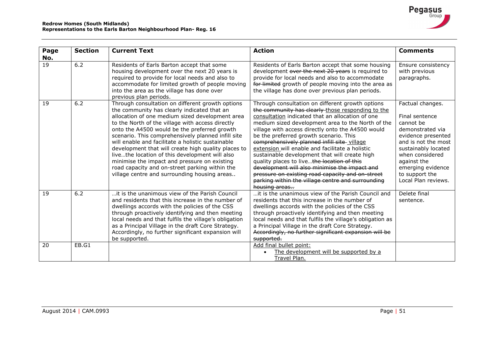| Page | <b>Section</b> | <b>Current Text</b>                                                                                                                                                                                                                                                                                                                                                                                                                                                                                                                                                                                                          | <b>Action</b>                                                                                                                                                                                                                                                                                                                                                                                                                                                                                                                                                                                                                                                                             | <b>Comments</b>                                                                                                                                                                                                                         |
|------|----------------|------------------------------------------------------------------------------------------------------------------------------------------------------------------------------------------------------------------------------------------------------------------------------------------------------------------------------------------------------------------------------------------------------------------------------------------------------------------------------------------------------------------------------------------------------------------------------------------------------------------------------|-------------------------------------------------------------------------------------------------------------------------------------------------------------------------------------------------------------------------------------------------------------------------------------------------------------------------------------------------------------------------------------------------------------------------------------------------------------------------------------------------------------------------------------------------------------------------------------------------------------------------------------------------------------------------------------------|-----------------------------------------------------------------------------------------------------------------------------------------------------------------------------------------------------------------------------------------|
| No.  |                |                                                                                                                                                                                                                                                                                                                                                                                                                                                                                                                                                                                                                              |                                                                                                                                                                                                                                                                                                                                                                                                                                                                                                                                                                                                                                                                                           |                                                                                                                                                                                                                                         |
| 19   | 6.2            | Residents of Earls Barton accept that some<br>housing development over the next 20 years is<br>required to provide for local needs and also to<br>accommodate for limited growth of people moving<br>into the area as the village has done over<br>previous plan periods.                                                                                                                                                                                                                                                                                                                                                    | Residents of Earls Barton accept that some housing<br>development over the next 20 years is required to<br>provide for local needs and also to accommodate<br>for limited growth of people moving into the area as<br>the village has done over previous plan periods.                                                                                                                                                                                                                                                                                                                                                                                                                    | Ensure consistency<br>with previous<br>paragraphs.                                                                                                                                                                                      |
| 19   | 6.2            | Through consultation on different growth options<br>the community has clearly indicated that an<br>allocation of one medium sized development area<br>to the North of the village with access directly<br>onto the A4500 would be the preferred growth<br>scenario. This comprehensively planned infill site<br>will enable and facilitate a holistic sustainable<br>development that will create high quality places to<br>livethe location of this development will also<br>minimise the impact and pressure on existing<br>road capacity and on-street parking within the<br>village centre and surrounding housing areas | Through consultation on different growth options<br>the community has clearly those responding to the<br>consultation indicated that an allocation of one<br>medium sized development area to the North of the<br>village with access directly onto the A4500 would<br>be the preferred growth scenario. This<br>comprehensively planned infill site village<br>extension will enable and facilitate a holistic<br>sustainable development that will create high<br>quality places to livethe location of this<br>development will also minimise the impact and<br>pressure on existing road capacity and on-street<br>parking within the village centre and surrounding<br>housing areas | Factual changes.<br>Final sentence<br>cannot be<br>demonstrated via<br>evidence presented<br>and is not the most<br>sustainably located<br>when considered<br>against the<br>emerging evidence<br>to support the<br>Local Plan reviews. |
| 19   | 6.2            | it is the unanimous view of the Parish Council<br>and residents that this increase in the number of<br>dwellings accords with the policies of the CSS<br>through proactively identifying and then meeting<br>local needs and that fulfils the village's obligation<br>as a Principal Village in the draft Core Strategy.<br>Accordingly, no further significant expansion will<br>be supported.                                                                                                                                                                                                                              | it is the unanimous view of the Parish Council and<br>residents that this increase in the number of<br>dwellings accords with the policies of the CSS<br>through proactively identifying and then meeting<br>local needs and that fulfils the village's obligation as<br>a Principal Village in the draft Core Strategy.<br>Accordingly, no further significant expansion will be<br>supported.                                                                                                                                                                                                                                                                                           | Delete final<br>sentence.                                                                                                                                                                                                               |
| 20   | EB.G1          |                                                                                                                                                                                                                                                                                                                                                                                                                                                                                                                                                                                                                              | Add final bullet point:<br>The development will be supported by a<br>Travel Plan.                                                                                                                                                                                                                                                                                                                                                                                                                                                                                                                                                                                                         |                                                                                                                                                                                                                                         |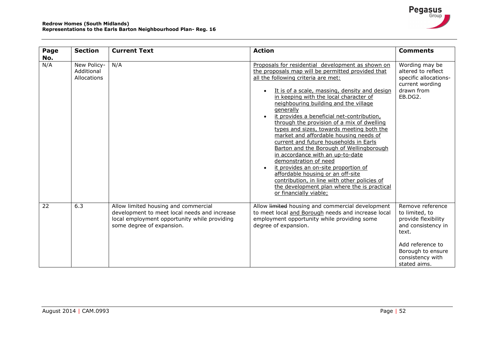| Page<br>No. | <b>Section</b>                           | <b>Current Text</b>                                                                                                                                               | <b>Action</b>                                                                                                                                                                                                                                                                                                                                                                                                                                                                                                                                                                                                                                                                                                                                                                                                                                           | <b>Comments</b>                                                                                                                                                       |
|-------------|------------------------------------------|-------------------------------------------------------------------------------------------------------------------------------------------------------------------|---------------------------------------------------------------------------------------------------------------------------------------------------------------------------------------------------------------------------------------------------------------------------------------------------------------------------------------------------------------------------------------------------------------------------------------------------------------------------------------------------------------------------------------------------------------------------------------------------------------------------------------------------------------------------------------------------------------------------------------------------------------------------------------------------------------------------------------------------------|-----------------------------------------------------------------------------------------------------------------------------------------------------------------------|
| N/A         | New Policy-<br>Additional<br>Allocations | N/A                                                                                                                                                               | Proposals for residential development as shown on<br>the proposals map will be permitted provided that<br>all the following criteria are met:<br>It is of a scale, massing, density and design<br>$\bullet$<br>in keeping with the local character of<br>neighbouring building and the village<br>generally<br>it provides a beneficial net-contribution,<br>through the provision of a mix of dwelling<br>types and sizes, towards meeting both the<br>market and affordable housing needs of<br>current and future households in Earls<br>Barton and the Borough of Wellingborough<br>in accordance with an up-to-date<br>demonstration of need<br>it provides an on-site proportion of<br>affordable housing or an off-site<br>contribution, in line with other policies of<br>the development plan where the is practical<br>or financially viable; | Wording may be<br>altered to reflect<br>specific allocations-<br>current wording<br>drawn from<br>EB.DG2.                                                             |
| 22          | 6.3                                      | Allow limited housing and commercial<br>development to meet local needs and increase<br>local employment opportunity while providing<br>some degree of expansion. | Allow <b>limited</b> housing and commercial development<br>to meet local and Borough needs and increase local<br>employment opportunity while providing some<br>degree of expansion.                                                                                                                                                                                                                                                                                                                                                                                                                                                                                                                                                                                                                                                                    | Remove reference<br>to limited, to<br>provide flexibility<br>and consistency in<br>text.<br>Add reference to<br>Borough to ensure<br>consistency with<br>stated aims. |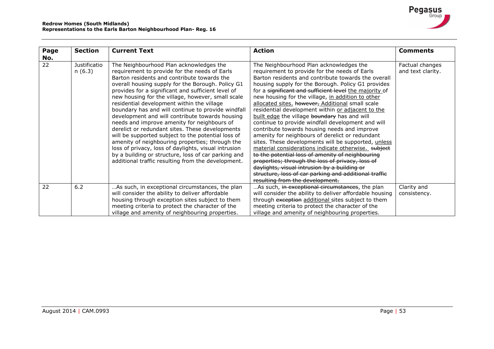| Page<br>No. | <b>Section</b>                | <b>Current Text</b>                                                                                                                                                                                                                                                                                                                                                                                                                                                                                                                                                                                                                                                                                                                                                                                                                            | <b>Action</b>                                                                                                                                                                                                                                                                                                                                                                                                                                                                                                                                                                                                                                                                                                                                                                                                                                                                                                                                                                                           | <b>Comments</b>                      |
|-------------|-------------------------------|------------------------------------------------------------------------------------------------------------------------------------------------------------------------------------------------------------------------------------------------------------------------------------------------------------------------------------------------------------------------------------------------------------------------------------------------------------------------------------------------------------------------------------------------------------------------------------------------------------------------------------------------------------------------------------------------------------------------------------------------------------------------------------------------------------------------------------------------|---------------------------------------------------------------------------------------------------------------------------------------------------------------------------------------------------------------------------------------------------------------------------------------------------------------------------------------------------------------------------------------------------------------------------------------------------------------------------------------------------------------------------------------------------------------------------------------------------------------------------------------------------------------------------------------------------------------------------------------------------------------------------------------------------------------------------------------------------------------------------------------------------------------------------------------------------------------------------------------------------------|--------------------------------------|
| 22          | <b>Justificatio</b><br>n(6.3) | The Neighbourhood Plan acknowledges the<br>requirement to provide for the needs of Earls<br>Barton residents and contribute towards the<br>overall housing supply for the Borough. Policy G1<br>provides for a significant and sufficient level of<br>new housing for the village, however, small scale<br>residential development within the village<br>boundary has and will continue to provide windfall<br>development and will contribute towards housing<br>needs and improve amenity for neighbours of<br>derelict or redundant sites. These developments<br>will be supported subject to the potential loss of<br>amenity of neighbouring properties; through the<br>loss of privacy, loss of daylights, visual intrusion<br>by a building or structure, loss of car parking and<br>additional traffic resulting from the development. | The Neighbourhood Plan acknowledges the<br>requirement to provide for the needs of Earls<br>Barton residents and contribute towards the overall<br>housing supply for the Borough. Policy G1 provides<br>for a significant and sufficient level the majority of<br>new housing for the village, in addition to other<br>allocated sites. however, Additional small scale<br>residential development within or adjacent to the<br>built edge the village boundary has and will<br>continue to provide windfall development and will<br>contribute towards housing needs and improve<br>amenity for neighbours of derelict or redundant<br>sites. These developments will be supported, unless<br>material considerations indicate otherwise. subject<br>to the potential loss of amenity of neighbouring<br>properties; through the loss of privacy, loss of<br>daylights, visual intrusion by a building or<br>structure, loss of car parking and additional traffic<br>resulting from the development. | Factual changes<br>and text clarity. |
| 22          | 6.2                           | As such, in exceptional circumstances, the plan<br>will consider the ability to deliver affordable<br>housing through exception sites subject to them<br>meeting criteria to protect the character of the<br>village and amenity of neighbouring properties.                                                                                                                                                                                                                                                                                                                                                                                                                                                                                                                                                                                   | As such, in exceptional circumstances, the plan<br>will consider the ability to deliver affordable housing<br>through exception additional sites subject to them<br>meeting criteria to protect the character of the<br>village and amenity of neighbouring properties.                                                                                                                                                                                                                                                                                                                                                                                                                                                                                                                                                                                                                                                                                                                                 | Clarity and<br>consistency.          |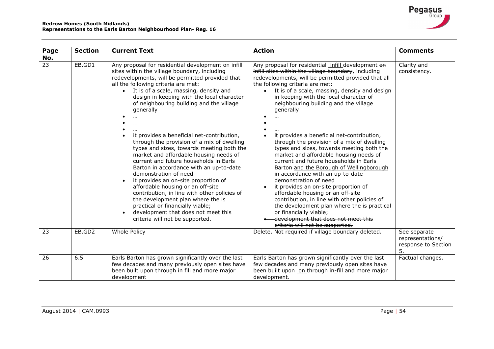| Page                   | <b>Section</b> | <b>Current Text</b>                                                                                                                                                                                                                                                                                                                                                                                                                                                                                                                                                                                                                                                                                                                                                                                                                                                                                      | <b>Action</b>                                                                                                                                                                                                                                                                                                                                                                                                                                                                                                                                                                                                                                                                                                                                                                                                                                                                                    | <b>Comments</b>                                               |
|------------------------|----------------|----------------------------------------------------------------------------------------------------------------------------------------------------------------------------------------------------------------------------------------------------------------------------------------------------------------------------------------------------------------------------------------------------------------------------------------------------------------------------------------------------------------------------------------------------------------------------------------------------------------------------------------------------------------------------------------------------------------------------------------------------------------------------------------------------------------------------------------------------------------------------------------------------------|--------------------------------------------------------------------------------------------------------------------------------------------------------------------------------------------------------------------------------------------------------------------------------------------------------------------------------------------------------------------------------------------------------------------------------------------------------------------------------------------------------------------------------------------------------------------------------------------------------------------------------------------------------------------------------------------------------------------------------------------------------------------------------------------------------------------------------------------------------------------------------------------------|---------------------------------------------------------------|
| No.<br>$\overline{23}$ | EB.GD1         | Any proposal for residential development on infill<br>sites within the village boundary, including<br>redevelopments, will be permitted provided that<br>all the following criteria are met:<br>It is of a scale, massing, density and<br>$\bullet$<br>design in keeping with the local character<br>of neighbouring building and the village<br>generally<br>it provides a beneficial net-contribution,<br>through the provision of a mix of dwelling<br>types and sizes, towards meeting both the<br>market and affordable housing needs of<br>current and future households in Earls<br>Barton in accordance with an up-to-date<br>demonstration of need<br>it provides an on-site proportion of<br>affordable housing or an off-site<br>contribution, in line with other policies of<br>the development plan where the is<br>practical or financially viable;<br>development that does not meet this | Any proposal for residential infill development on<br>infill sites within the village boundary, including<br>redevelopments, will be permitted provided that all<br>the following criteria are met:<br>It is of a scale, massing, density and design<br>in keeping with the local character of<br>neighbouring building and the village<br>generally<br>it provides a beneficial net-contribution,<br>through the provision of a mix of dwelling<br>types and sizes, towards meeting both the<br>market and affordable housing needs of<br>current and future households in Earls<br>Barton and the Borough of Wellingborough<br>in accordance with an up-to-date<br>demonstration of need<br>it provides an on-site proportion of<br>affordable housing or an off-site<br>contribution, in line with other policies of<br>the development plan where the is practical<br>or financially viable; | Clarity and<br>consistency.                                   |
|                        |                | criteria will not be supported.                                                                                                                                                                                                                                                                                                                                                                                                                                                                                                                                                                                                                                                                                                                                                                                                                                                                          | development that does not meet this<br>criteria will not be supported.                                                                                                                                                                                                                                                                                                                                                                                                                                                                                                                                                                                                                                                                                                                                                                                                                           |                                                               |
| 23                     | EB.GD2         | Whole Policy                                                                                                                                                                                                                                                                                                                                                                                                                                                                                                                                                                                                                                                                                                                                                                                                                                                                                             | Delete. Not required if village boundary deleted.                                                                                                                                                                                                                                                                                                                                                                                                                                                                                                                                                                                                                                                                                                                                                                                                                                                | See separate<br>representations/<br>response to Section<br>5. |
| 26                     | 6.5            | Earls Barton has grown significantly over the last<br>few decades and many previously open sites have<br>been built upon through in fill and more major<br>development                                                                                                                                                                                                                                                                                                                                                                                                                                                                                                                                                                                                                                                                                                                                   | Earls Barton has grown significantly over the last<br>few decades and many previously open sites have<br>been built upon on through in-fill and more major<br>development.                                                                                                                                                                                                                                                                                                                                                                                                                                                                                                                                                                                                                                                                                                                       | Factual changes.                                              |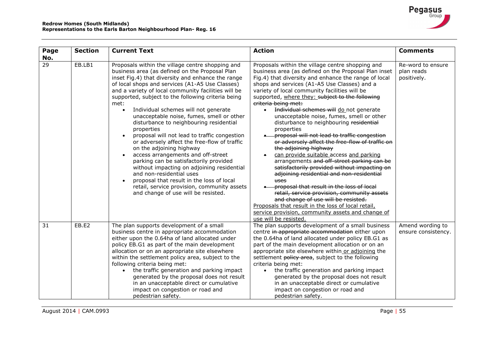| Page<br>No.     | <b>Section</b> | <b>Current Text</b>                                                                                                                                                                                                                                                                                                                                                                                                                                                                                                                                                                                                                                                                                                                                                                                                                                                                                                 | <b>Action</b>                                                                                                                                                                                                                                                                                                                                                                                                                                                                                                                                                                                                                                                                                                                                                                                                                                                                                                                                                                                                                                                                                                             | <b>Comments</b>                                |
|-----------------|----------------|---------------------------------------------------------------------------------------------------------------------------------------------------------------------------------------------------------------------------------------------------------------------------------------------------------------------------------------------------------------------------------------------------------------------------------------------------------------------------------------------------------------------------------------------------------------------------------------------------------------------------------------------------------------------------------------------------------------------------------------------------------------------------------------------------------------------------------------------------------------------------------------------------------------------|---------------------------------------------------------------------------------------------------------------------------------------------------------------------------------------------------------------------------------------------------------------------------------------------------------------------------------------------------------------------------------------------------------------------------------------------------------------------------------------------------------------------------------------------------------------------------------------------------------------------------------------------------------------------------------------------------------------------------------------------------------------------------------------------------------------------------------------------------------------------------------------------------------------------------------------------------------------------------------------------------------------------------------------------------------------------------------------------------------------------------|------------------------------------------------|
| $\overline{29}$ | EB.LB1         | Proposals within the village centre shopping and<br>business area (as defined on the Proposal Plan<br>inset Fig.4) that diversity and enhance the range<br>of local shops and services (A1-A5 Use Classes)<br>and a variety of local community facilities will be<br>supported, subject to the following criteria being<br>met:<br>Individual schemes will not generate<br>$\bullet$<br>unacceptable noise, fumes, smell or other<br>disturbance to neighbouring residential<br>properties<br>proposal will not lead to traffic congestion<br>or adversely affect the free-flow of traffic<br>on the adjoining highway<br>access arrangements and off-street<br>parking can be satisfactorily provided<br>without impacting on adjoining residential<br>and non-residential uses<br>proposal that result in the loss of local<br>retail, service provision, community assets<br>and change of use will be resisted. | Proposals within the village centre shopping and<br>business area (as defined on the Proposal Plan inset<br>Fig.4) that diversity and enhance the range of local<br>shops and services (A1-A5 Use Classes) and a<br>variety of local community facilities will be<br>supported, where they: subject to the following<br>criteria being met:<br>Individual schemes will do not generate<br>$\bullet$<br>unacceptable noise, fumes, smell or other<br>disturbance to neighbouring residential<br>properties<br>-proposal will not lead to traffic congestion<br>or adversely affect the free-flow of traffic on<br>the adjoining highway<br>can provide suitable access and parking<br>$\bullet$<br>arrangements and off-street parking can be<br>satisfactorily provided without impacting on<br>adjoining residential and non-residential<br>uses<br>-proposal that result in the loss of local<br>retail, service provision, community assets<br>and change of use will be resisted.<br>Proposals that result in the loss of local retail,<br>service provision, community assets and change of<br>use will be resisted. | Re-word to ensure<br>plan reads<br>positively. |
| 31              | EB.E2          | The plan supports development of a small<br>business centre in appropriate accommodation<br>either upon the 0.64ha of land allocated under<br>policy EB.G1 as part of the main development<br>allocation or on an appropriate site elsewhere<br>within the settlement policy area, subject to the<br>following criteria being met:<br>the traffic generation and parking impact<br>generated by the proposal does not result<br>in an unacceptable direct or cumulative<br>impact on congestion or road and<br>pedestrian safety.                                                                                                                                                                                                                                                                                                                                                                                   | The plan supports development of a small business<br>centre in appropriate accommodation either upon<br>the 0.64ha of land allocated under policy EB.G1 as<br>part of the main development allocation or on an<br>appropriate site elsewhere within or adjoining the<br>settlement policy area, subject to the following<br>criteria being met:<br>the traffic generation and parking impact<br>$\bullet$<br>generated by the proposal does not result<br>in an unacceptable direct or cumulative<br>impact on congestion or road and<br>pedestrian safety.                                                                                                                                                                                                                                                                                                                                                                                                                                                                                                                                                               | Amend wording to<br>ensure consistency.        |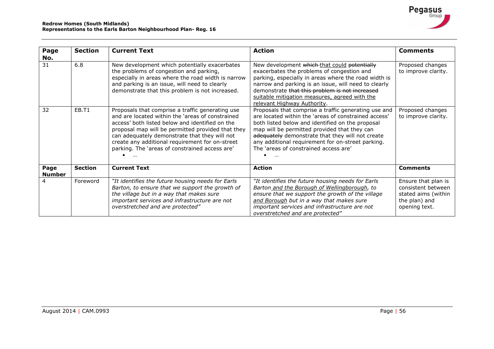| Page<br>No.           | <b>Section</b> | <b>Current Text</b>                                                                                                                                                                                                                                                                                                                                                | <b>Action</b>                                                                                                                                                                                                                                                                                                                                                      | <b>Comments</b>                                                                                    |
|-----------------------|----------------|--------------------------------------------------------------------------------------------------------------------------------------------------------------------------------------------------------------------------------------------------------------------------------------------------------------------------------------------------------------------|--------------------------------------------------------------------------------------------------------------------------------------------------------------------------------------------------------------------------------------------------------------------------------------------------------------------------------------------------------------------|----------------------------------------------------------------------------------------------------|
| 31                    | 6.8            | New development which potentially exacerbates<br>the problems of congestion and parking,<br>especially in areas where the road width is narrow<br>and parking is an issue, will need to clearly<br>demonstrate that this problem is not increased.                                                                                                                 | New development which that could potentially<br>exacerbates the problems of congestion and<br>parking, especially in areas where the road width is<br>narrow and parking is an issue, will need to clearly<br>demonstrate that this problem is not increased<br>suitable mitigation measures, agreed with the<br>relevant Highway Authority.                       | Proposed changes<br>to improve clarity.                                                            |
| 32                    | EB.T1          | Proposals that comprise a traffic generating use<br>and are located within the 'areas of constrained<br>access' both listed below and identified on the<br>proposal map will be permitted provided that they<br>can adequately demonstrate that they will not<br>create any additional requirement for on-street<br>parking. The 'areas of constrained access are' | Proposals that comprise a traffic generating use and<br>are located within the 'areas of constrained access'<br>both listed below and identified on the proposal<br>map will be permitted provided that they can<br>adequately demonstrate that they will not create<br>any additional requirement for on-street parking.<br>The 'areas of constrained access are' | Proposed changes<br>to improve clarity.                                                            |
| Page<br><b>Number</b> | <b>Section</b> | <b>Current Text</b>                                                                                                                                                                                                                                                                                                                                                | <b>Action</b>                                                                                                                                                                                                                                                                                                                                                      | <b>Comments</b>                                                                                    |
| 4                     | Foreword       | "It identifies the future housing needs for Earls<br>Barton, to ensure that we support the growth of<br>the village but in a way that makes sure<br>important services and infrastructure are not<br>overstretched and are protected"                                                                                                                              | "It identifies the future housing needs for Earls<br>Barton and the Borough of Wellingborough, to<br>ensure that we support the growth of the village<br>and Borough but in a way that makes sure<br>important services and infrastructure are not<br>overstretched and are protected"                                                                             | Ensure that plan is<br>consistent between<br>stated aims (within<br>the plan) and<br>opening text. |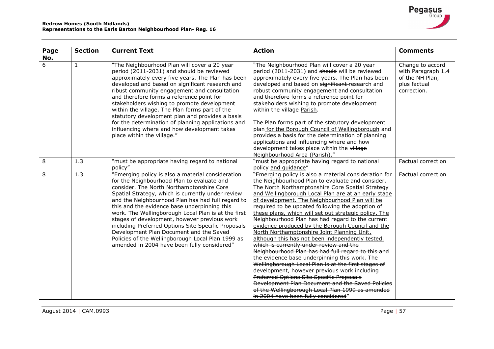| Page     | <b>Section</b> | <b>Current Text</b>                                                                                                                                                                                                                                                                                                                                                                                                                                                                                                                                                                                                 | <b>Action</b>                                                                                                                                                                                                                                                                                                                                                                                                                                                                                                                                                                                                                                                                                                                                                                                                                                                                                                                                                                                                                                              | <b>Comments</b>                                                                          |
|----------|----------------|---------------------------------------------------------------------------------------------------------------------------------------------------------------------------------------------------------------------------------------------------------------------------------------------------------------------------------------------------------------------------------------------------------------------------------------------------------------------------------------------------------------------------------------------------------------------------------------------------------------------|------------------------------------------------------------------------------------------------------------------------------------------------------------------------------------------------------------------------------------------------------------------------------------------------------------------------------------------------------------------------------------------------------------------------------------------------------------------------------------------------------------------------------------------------------------------------------------------------------------------------------------------------------------------------------------------------------------------------------------------------------------------------------------------------------------------------------------------------------------------------------------------------------------------------------------------------------------------------------------------------------------------------------------------------------------|------------------------------------------------------------------------------------------|
| No.<br>6 | $\mathbf{1}$   | "The Neighbourhood Plan will cover a 20 year<br>period (2011-2031) and should be reviewed<br>approximately every five years. The Plan has been<br>developed and based on significant research and<br>ribust community engagement and consultation<br>and therefore forms a reference point for<br>stakeholders wishing to promote development<br>within the village. The Plan forms part of the<br>statutory development plan and provides a basis<br>for the determination of planning applications and<br>influencing where and how development takes<br>place within the village."                               | "The Neighbourhood Plan will cover a 20 year<br>period (2011-2031) and should will be reviewed<br>approximately every five years. The Plan has been<br>developed and based on significant-research and<br>robust community engagement and consultation<br>and therefore forms a reference point for<br>stakeholders wishing to promote development<br>within the village Parish.<br>The Plan forms part of the statutory development<br>plan for the Borough Council of Wellingborough and<br>provides a basis for the determination of planning<br>applications and influencing where and how<br>development takes place within the village<br>Neighbourhood Area (Parish)."                                                                                                                                                                                                                                                                                                                                                                              | Change to accord<br>with Paragraph 1.4<br>of the NH Plan,<br>plus factual<br>correction. |
| 8        | 1.3            | "must be appropriate having regard to national<br>policy"                                                                                                                                                                                                                                                                                                                                                                                                                                                                                                                                                           | "must be appropriate having regard to national<br>policy and quidance"                                                                                                                                                                                                                                                                                                                                                                                                                                                                                                                                                                                                                                                                                                                                                                                                                                                                                                                                                                                     | Factual correction                                                                       |
| 8        | 1.3            | "Emerging policy is also a material consideration<br>for the Neighbourhood Plan to evaluate and<br>consider. The North Northamptonshire Core<br>Spatial Strategy, which is currently under review<br>and the Neighbourhood Plan has had full regard to<br>this and the evidence base underpinning this<br>work. The Wellingborough Local Plan is at the first<br>stages of development, however previous work<br>including Preferred Options Site Specific Proposals<br>Development Plan Document and the Saved<br>Policies of the Wellingborough Local Plan 1999 as<br>amended in 2004 have been fully considered" | "Emerging policy is also a material consideration for<br>the Neighbourhood Plan to evaluate and consider.<br>The North Northamptonshire Core Spatial Strategy<br>and Wellingborough Local Plan are at an early stage<br>of development. The Neighbourhood Plan will be<br>required to be updated following the adoption of<br>these plans, which will set out strategic policy. The<br>Neighbourhood Plan has had regard to the current<br>evidence produced by the Borough Council and the<br>North Northamptonshire Joint Planning Unit,<br>although this has not been independently tested.<br>which is currently under review and the<br>Neighbourhood Plan has had full regard to this and<br>the evidence base underpinning this work. The<br>Wellingborough Local Plan is at the first stages of<br>development, however previous work including<br><b>Preferred Options Site Specific Proposals</b><br>Development Plan Document and the Saved Policies<br>of the Wellingborough Local Plan 1999 as amended<br>in 2004 have been fully considered" | Factual correction                                                                       |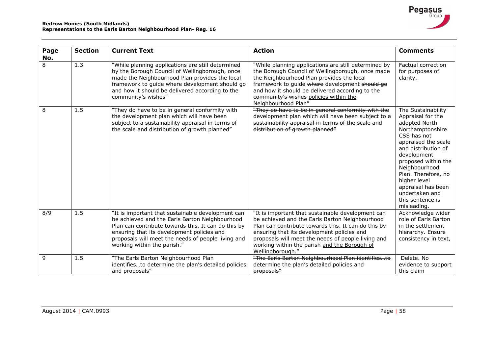| Page | <b>Section</b> | <b>Current Text</b>                                                                                                                                                                                                                                                                           | <b>Action</b>                                                                                                                                                                                                                                                                                                                      | <b>Comments</b>                                                                                                                                                                                                                                                                                                    |
|------|----------------|-----------------------------------------------------------------------------------------------------------------------------------------------------------------------------------------------------------------------------------------------------------------------------------------------|------------------------------------------------------------------------------------------------------------------------------------------------------------------------------------------------------------------------------------------------------------------------------------------------------------------------------------|--------------------------------------------------------------------------------------------------------------------------------------------------------------------------------------------------------------------------------------------------------------------------------------------------------------------|
| No.  |                |                                                                                                                                                                                                                                                                                               |                                                                                                                                                                                                                                                                                                                                    |                                                                                                                                                                                                                                                                                                                    |
| 8    | 1.3            | "While planning applications are still determined<br>by the Borough Council of Wellingborough, once<br>made the Neighbourhood Plan provides the local<br>framework to guide where development should go<br>and how it should be delivered according to the<br>community's wishes"             | "While planning applications are still determined by<br>the Borough Council of Wellingborough, once made<br>the Neighbourhood Plan provides the local<br>framework to guide where development should go<br>and how it should be delivered according to the<br>community's wishes policies within the<br>Neighbourhood Plan"        | Factual correction<br>for purposes of<br>clarity.                                                                                                                                                                                                                                                                  |
| 8    | 1.5            | "They do have to be in general conformity with<br>the development plan which will have been<br>subject to a sustainability appraisal in terms of<br>the scale and distribution of growth planned"                                                                                             | "They do have to be in general conformity with the<br>development plan which will have been subject to a<br>sustainability appraisal in terms of the scale and<br>distribution of growth planned"                                                                                                                                  | The Sustainability<br>Appraisal for the<br>adopted North<br>Northamptonshire<br>CSS has not<br>appraised the scale<br>and distribution of<br>development<br>proposed within the<br>Neighbourhood<br>Plan. Therefore, no<br>higher level<br>appraisal has been<br>undertaken and<br>this sentence is<br>misleading. |
| 8/9  | 1.5            | "It is important that sustainable development can<br>be achieved and the Earls Barton Neighbourhood<br>Plan can contribute towards this. It can do this by<br>ensuring that its development policies and<br>proposals will meet the needs of people living and<br>working within the parish." | "It is important that sustainable development can<br>be achieved and the Earls Barton Neighbourhood<br>Plan can contribute towards this. It can do this by<br>ensuring that its development policies and<br>proposals will meet the needs of people living and<br>working within the parish and the Borough of<br>Wellingborough." | Acknowledge wider<br>role of Earls Barton<br>in the settlement<br>hierarchy. Ensure<br>consistency in text,                                                                                                                                                                                                        |
| 9    | 1.5            | "The Earls Barton Neighbourhood Plan<br>identifiesto determine the plan's detailed policies<br>and proposals"                                                                                                                                                                                 | "The Earls Barton Neighbourhood Plan identifiesto<br>determine the plan's detailed policies and<br>proposals"                                                                                                                                                                                                                      | Delete. No<br>evidence to support<br>this claim                                                                                                                                                                                                                                                                    |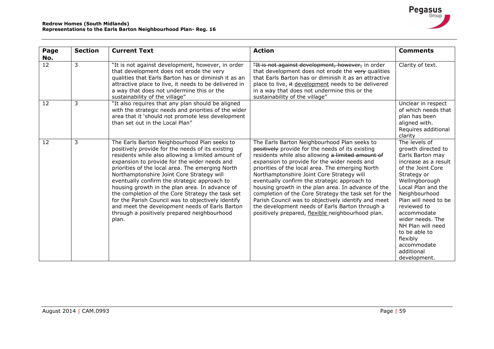| Page                     | <b>Section</b> | <b>Current Text</b>                                                                                                                                                                                                                                                                                                                                                                                                                                                                                                                                                                                                          | <b>Action</b>                                                                                                                                                                                                                                                                                                                                                                                                                                                                                                                                                                                                                       | <b>Comments</b>                                                                                                                                                                                                                                                                                                                                       |
|--------------------------|----------------|------------------------------------------------------------------------------------------------------------------------------------------------------------------------------------------------------------------------------------------------------------------------------------------------------------------------------------------------------------------------------------------------------------------------------------------------------------------------------------------------------------------------------------------------------------------------------------------------------------------------------|-------------------------------------------------------------------------------------------------------------------------------------------------------------------------------------------------------------------------------------------------------------------------------------------------------------------------------------------------------------------------------------------------------------------------------------------------------------------------------------------------------------------------------------------------------------------------------------------------------------------------------------|-------------------------------------------------------------------------------------------------------------------------------------------------------------------------------------------------------------------------------------------------------------------------------------------------------------------------------------------------------|
| No.<br>$12 \overline{ }$ | 3              | "It is not against development, however, in order<br>that development does not erode the very<br>qualities that Earls Barton has or diminish it as an<br>attractive place to live, it needs to be delivered in<br>a way that does not undermine this or the<br>sustainability of the village"                                                                                                                                                                                                                                                                                                                                | "It is not against development, however, in order<br>that development does not erode the very qualities<br>that Earls Barton has or diminish it as an attractive<br>place to live, it development needs to be delivered<br>in a way that does not undermine this or the<br>sustainability of the village"                                                                                                                                                                                                                                                                                                                           | Clarity of text.                                                                                                                                                                                                                                                                                                                                      |
| 12                       | 3              | "It also requires that any plan should be aligned<br>with the strategic needs and priorities of the wider<br>area that it 'should not promote less development<br>than set out in the Local Plan"                                                                                                                                                                                                                                                                                                                                                                                                                            |                                                                                                                                                                                                                                                                                                                                                                                                                                                                                                                                                                                                                                     | Unclear in respect<br>of which needs that<br>plan has been<br>aligned with.<br>Requires additional<br>clarity                                                                                                                                                                                                                                         |
| 12                       | 3              | The Earls Barton Neighbourhood Plan seeks to<br>positively provide for the needs of its existing<br>residents while also allowing a limited amount of<br>expansion to provide for the wider needs and<br>priorities of the local area. The emerging North<br>Northamptonshire Joint Core Strategy will<br>eventually confirm the strategic approach to<br>housing growth in the plan area. In advance of<br>the completion of the Core Strategy the task set<br>for the Parish Council was to objectively identify<br>and meet the development needs of Earls Barton<br>through a positively prepared neighbourhood<br>plan. | The Earls Barton Neighbourhood Plan seeks to<br>positively provide for the needs of its existing<br>residents while also allowing a limited amount of<br>expansion to provide for the wider needs and<br>priorities of the local area. The emerging North<br>Northamptonshire Joint Core Strategy will<br>eventually confirm the strategic approach to<br>housing growth in the plan area. In advance of the<br>completion of the Core Strategy the task set for the<br>Parish Council was to objectively identify and meet<br>the development needs of Earls Barton through a<br>positively prepared, flexible neighbourhood plan. | The levels of<br>growth directed to<br>Earls Barton may<br>increase as a result<br>of the Joint Core<br>Strategy or<br>Wellingborough<br>Local Plan and the<br>Neighbourhood<br>Plan will need to be<br>reviewed to<br>accommodate<br>wider needs. The<br>NH Plan will need<br>to be able to<br>flexibly<br>accommodate<br>additional<br>development. |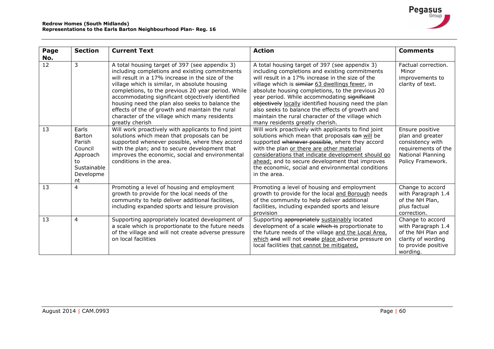| Page<br>No.     | <b>Section</b>                                                                                  | <b>Current Text</b>                                                                                                                                                                                                                                                                                                                                                                                                                                                                       | <b>Action</b>                                                                                                                                                                                                                                                                                                                                                                                                                                                                                                  | <b>Comments</b>                                                                                                          |
|-----------------|-------------------------------------------------------------------------------------------------|-------------------------------------------------------------------------------------------------------------------------------------------------------------------------------------------------------------------------------------------------------------------------------------------------------------------------------------------------------------------------------------------------------------------------------------------------------------------------------------------|----------------------------------------------------------------------------------------------------------------------------------------------------------------------------------------------------------------------------------------------------------------------------------------------------------------------------------------------------------------------------------------------------------------------------------------------------------------------------------------------------------------|--------------------------------------------------------------------------------------------------------------------------|
| $\overline{12}$ | 3                                                                                               | A total housing target of 397 (see appendix 3)<br>including completions and existing commitments<br>will result in a 17% increase in the size of the<br>village which is similar, in absolute housing<br>completions, to the previous 20 year period. While<br>accommodating significant objectively identified<br>housing need the plan also seeks to balance the<br>effects of the of growth and maintain the rural<br>character of the village which many residents<br>greatly cherish | A total housing target of 397 (see appendix 3)<br>including completions and existing commitments<br>will result in a 17% increase in the size of the<br>village which is similar 63 dwellings fewer, in<br>absolute housing completions, to the previous 20<br>year period. While accommodating significant<br>objectively locally identified housing need the plan<br>also seeks to balance the effects of growth and<br>maintain the rural character of the village which<br>many residents greatly cherish. | Factual correction.<br>Minor<br>improvements to<br>clarity of text.                                                      |
| 13              | Earls<br><b>Barton</b><br>Parish<br>Council<br>Approach<br>to<br>Sustainable<br>Developme<br>nt | Will work proactively with applicants to find joint<br>solutions which mean that proposals can be<br>supported whenever possible, where they accord<br>with the plan; and to secure development that<br>improves the economic, social and environmental<br>conditions in the area.                                                                                                                                                                                                        | Will work proactively with applicants to find joint<br>solutions which mean that proposals can will be<br>supported whenever possible, where they accord<br>with the plan or there are other material<br>considerations that indicate development should go<br>ahead; and to secure development that improves<br>the economic, social and environmental conditions<br>in the area.                                                                                                                             | Ensure positive<br>plan and greater<br>consistency with<br>requirements of the<br>National Planning<br>Policy Framework. |
| 13              | $\overline{4}$                                                                                  | Promoting a level of housing and employment<br>growth to provide for the local needs of the<br>community to help deliver additional facilities,<br>including expanded sports and leisure provision                                                                                                                                                                                                                                                                                        | Promoting a level of housing and employment<br>growth to provide for the local and Borough needs<br>of the community to help deliver additional<br>facilities, including expanded sports and leisure<br>provision                                                                                                                                                                                                                                                                                              | Change to accord<br>with Paragraph 1.4<br>of the NH Plan,<br>plus factual<br>correction.                                 |
| 13              | 4                                                                                               | Supporting appropriately located development of<br>a scale which is proportionate to the future needs<br>of the village and will not create adverse pressure<br>on local facilities                                                                                                                                                                                                                                                                                                       | Supporting appropriately sustainably located<br>development of a scale which is proportionate to<br>the future needs of the village and the Local Area,<br>which and will not create place adverse pressure on<br>local facilities that cannot be mitigated,                                                                                                                                                                                                                                                   | Change to accord<br>with Paragraph 1.4<br>of the NH Plan and<br>clarity of wording<br>to provide positive<br>wording.    |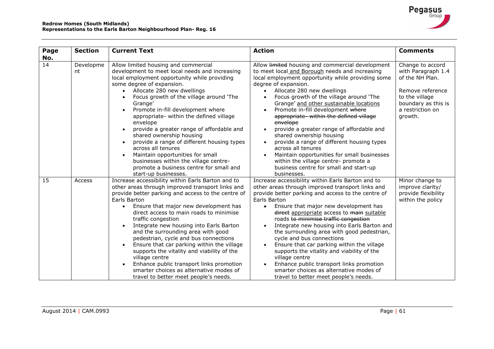| Page      | <b>Section</b>  | <b>Current Text</b>                                                                                                                                                                                                                                                                                                                                                                                                                                                                                                                                                                                                                                                        | <b>Action</b>                                                                                                                                                                                                                                                                                                                                                                                                                                                                                                                                                                                                                                                                                                                                                | <b>Comments</b>                                                                                                                                       |
|-----------|-----------------|----------------------------------------------------------------------------------------------------------------------------------------------------------------------------------------------------------------------------------------------------------------------------------------------------------------------------------------------------------------------------------------------------------------------------------------------------------------------------------------------------------------------------------------------------------------------------------------------------------------------------------------------------------------------------|--------------------------------------------------------------------------------------------------------------------------------------------------------------------------------------------------------------------------------------------------------------------------------------------------------------------------------------------------------------------------------------------------------------------------------------------------------------------------------------------------------------------------------------------------------------------------------------------------------------------------------------------------------------------------------------------------------------------------------------------------------------|-------------------------------------------------------------------------------------------------------------------------------------------------------|
| No.<br>14 | Developme<br>nt | Allow limited housing and commercial<br>development to meet local needs and increasing<br>local employment opportunity while providing<br>some degree of expansion.<br>Allocate 280 new dwellings<br>Focus growth of the village around 'The<br>Grange'<br>Promote in-fill development where<br>appropriate- within the defined village<br>envelope<br>provide a greater range of affordable and<br>shared ownership housing<br>provide a range of different housing types<br>across all tenures<br>Maintain opportunities for small<br>businesses within the village centre-<br>promote a business centre for small and<br>start-up businesses.                           | Allow limited housing and commercial development<br>to meet local and Borough needs and increasing<br>local employment opportunity while providing some<br>degree of expansion.<br>Allocate 280 new dwellings<br>$\bullet$<br>Focus growth of the village around 'The<br>$\bullet$<br>Grange' and other sustainable locations<br>Promote in-fill development where<br>$\bullet$<br>appropriate-within the defined village<br>envelope<br>provide a greater range of affordable and<br>$\bullet$<br>shared ownership housing<br>provide a range of different housing types<br>$\bullet$<br>across all tenures<br>Maintain opportunities for small businesses<br>within the village centre- promote a<br>business centre for small and start-up<br>businesses. | Change to accord<br>with Paragraph 1.4<br>of the NH Plan.<br>Remove reference<br>to the village<br>boundary as this is<br>a restriction on<br>growth. |
| 15        | Access          | Increase accessibility within Earls Barton and to<br>other areas through improved transport links and<br>provide better parking and access to the centre of<br>Earls Barton<br>Ensure that major new development has<br>$\bullet$<br>direct access to main roads to minimise<br>traffic congestion<br>Integrate new housing into Earls Barton<br>and the surrounding area with good<br>pedestrian, cycle and bus connections<br>Ensure that car parking within the village<br>supports the vitality and viability of the<br>village centre<br>Enhance public transport links promotion<br>smarter choices as alternative modes of<br>travel to better meet people's needs. | Increase accessibility within Earls Barton and to<br>other areas through improved transport links and<br>provide better parking and access to the centre of<br>Earls Barton<br>Ensure that major new development has<br>$\bullet$<br>direct appropriate access to main suitable<br>roads to minimise traffic congestion<br>Integrate new housing into Earls Barton and<br>$\bullet$<br>the surrounding area with good pedestrian,<br>cycle and bus connections<br>Ensure that car parking within the village<br>$\bullet$<br>supports the vitality and viability of the<br>village centre<br>Enhance public transport links promotion<br>smarter choices as alternative modes of<br>travel to better meet people's needs.                                    | Minor change to<br>improve clarity/<br>provide flexibility<br>within the policy                                                                       |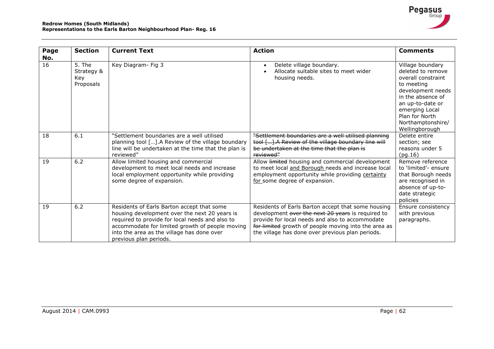| Page      | <b>Section</b>                           | <b>Current Text</b>                                                                                                                                                                                                                                                       | <b>Action</b>                                                                                                                                                                                                                                                          | <b>Comments</b>                                                                                                                                                                                                    |
|-----------|------------------------------------------|---------------------------------------------------------------------------------------------------------------------------------------------------------------------------------------------------------------------------------------------------------------------------|------------------------------------------------------------------------------------------------------------------------------------------------------------------------------------------------------------------------------------------------------------------------|--------------------------------------------------------------------------------------------------------------------------------------------------------------------------------------------------------------------|
| No.<br>16 | 5. The<br>Strategy &<br>Key<br>Proposals | Key Diagram- Fig 3                                                                                                                                                                                                                                                        | Delete village boundary.<br>$\bullet$<br>Allocate suitable sites to meet wider<br>housing needs.                                                                                                                                                                       | Village boundary<br>deleted to remove<br>overall constraint<br>to meeting<br>development needs<br>in the absence of<br>an up-to-date or<br>emerging Local<br>Plan for North<br>Northamptonshire/<br>Wellingborough |
| 18        | 6.1                                      | "Settlement boundaries are a well utilised<br>planning tool [].A Review of the village boundary<br>line will be undertaken at the time that the plan is<br>reviewed"                                                                                                      | "Settlement boundaries are a well utilised planning<br>tool []. A Review of the village boundary line will<br>be undertaken at the time that the plan is<br>reviewed"                                                                                                  | Delete entire<br>section; see<br>reasons under 5<br>(pg.16)                                                                                                                                                        |
| 19        | 6.2                                      | Allow limited housing and commercial<br>development to meet local needs and increase<br>local employment opportunity while providing<br>some degree of expansion.                                                                                                         | Allow <b>limited</b> housing and commercial development<br>to meet local and Borough needs and increase local<br>employment opportunity while providing certainty<br>for some degree of expansion.                                                                     | Remove reference<br>to 'limited'- ensure<br>that Borough needs<br>are recognised in<br>absence of up-to-<br>date strategic<br>policies                                                                             |
| 19        | 6.2                                      | Residents of Earls Barton accept that some<br>housing development over the next 20 years is<br>required to provide for local needs and also to<br>accommodate for limited growth of people moving<br>into the area as the village has done over<br>previous plan periods. | Residents of Earls Barton accept that some housing<br>development over the next 20 years is required to<br>provide for local needs and also to accommodate<br>for limited growth of people moving into the area as<br>the village has done over previous plan periods. | Ensure consistency<br>with previous<br>paragraphs.                                                                                                                                                                 |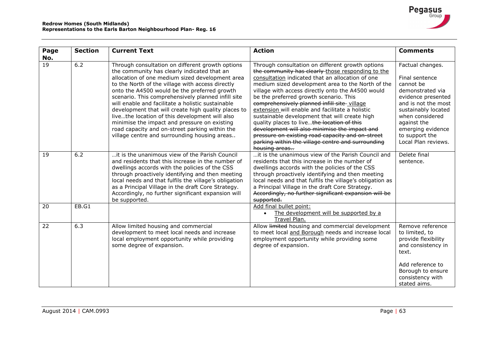

| Page<br>No. | <b>Section</b> | <b>Current Text</b>                                                                                                                                                                                                                                                                                                                                                                                                                                                                                                                                                                                                          | <b>Action</b>                                                                                                                                                                                                                                                                                                                                                                                                                                                                                                                                                                                                                                                                              | <b>Comments</b>                                                                                                                                                                                                                         |
|-------------|----------------|------------------------------------------------------------------------------------------------------------------------------------------------------------------------------------------------------------------------------------------------------------------------------------------------------------------------------------------------------------------------------------------------------------------------------------------------------------------------------------------------------------------------------------------------------------------------------------------------------------------------------|--------------------------------------------------------------------------------------------------------------------------------------------------------------------------------------------------------------------------------------------------------------------------------------------------------------------------------------------------------------------------------------------------------------------------------------------------------------------------------------------------------------------------------------------------------------------------------------------------------------------------------------------------------------------------------------------|-----------------------------------------------------------------------------------------------------------------------------------------------------------------------------------------------------------------------------------------|
| 19          | $6.2$          | Through consultation on different growth options<br>the community has clearly indicated that an<br>allocation of one medium sized development area<br>to the North of the village with access directly<br>onto the A4500 would be the preferred growth<br>scenario. This comprehensively planned infill site<br>will enable and facilitate a holistic sustainable<br>development that will create high quality places to<br>livethe location of this development will also<br>minimise the impact and pressure on existing<br>road capacity and on-street parking within the<br>village centre and surrounding housing areas | Through consultation on different growth options<br>the community has clearly those responding to the<br>consultation indicated that an allocation of one<br>medium sized development area to the North of the<br>village with access directly onto the A4500 would<br>be the preferred growth scenario. This<br>comprehensively planned infill site-village<br>extension will enable and facilitate a holistic<br>sustainable development that will create high<br>quality places to live the location of this<br>development will also minimise the impact and<br>pressure on existing road capacity and on-street<br>parking within the village centre and surrounding<br>housing areas | Factual changes.<br>Final sentence<br>cannot be<br>demonstrated via<br>evidence presented<br>and is not the most<br>sustainably located<br>when considered<br>against the<br>emerging evidence<br>to support the<br>Local Plan reviews. |
| 19          | 6.2            | it is the unanimous view of the Parish Council<br>and residents that this increase in the number of<br>dwellings accords with the policies of the CSS<br>through proactively identifying and then meeting<br>local needs and that fulfils the village's obligation<br>as a Principal Village in the draft Core Strategy.<br>Accordingly, no further significant expansion will<br>be supported.                                                                                                                                                                                                                              | it is the unanimous view of the Parish Council and<br>residents that this increase in the number of<br>dwellings accords with the policies of the CSS<br>through proactively identifying and then meeting<br>local needs and that fulfils the village's obligation as<br>a Principal Village in the draft Core Strategy.<br>Accordingly, no further significant expansion will be<br>supported.                                                                                                                                                                                                                                                                                            | Delete final<br>sentence.                                                                                                                                                                                                               |
| 20          | EB.G1          |                                                                                                                                                                                                                                                                                                                                                                                                                                                                                                                                                                                                                              | Add final bullet point:<br>The development will be supported by a<br>Travel Plan.                                                                                                                                                                                                                                                                                                                                                                                                                                                                                                                                                                                                          |                                                                                                                                                                                                                                         |
| 22          | 6.3            | Allow limited housing and commercial<br>development to meet local needs and increase<br>local employment opportunity while providing<br>some degree of expansion.                                                                                                                                                                                                                                                                                                                                                                                                                                                            | Allow <b>limited</b> housing and commercial development<br>to meet local and Borough needs and increase local<br>employment opportunity while providing some<br>degree of expansion.                                                                                                                                                                                                                                                                                                                                                                                                                                                                                                       | Remove reference<br>to limited, to<br>provide flexibility<br>and consistency in<br>text.<br>Add reference to<br>Borough to ensure<br>consistency with<br>stated aims.                                                                   |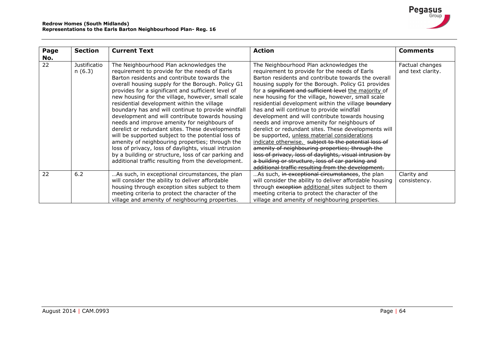

| Page<br>No. | <b>Section</b>         | <b>Current Text</b>                                                                                                                                                                                                                                                                                                                                                                                                                                                                                                                                                                                                                                                                                                                                                                                                                            | <b>Action</b>                                                                                                                                                                                                                                                                                                                                                                                                                                                                                                                                                                                                                                                                                                                                                                                                                                                                                                      | <b>Comments</b>                      |
|-------------|------------------------|------------------------------------------------------------------------------------------------------------------------------------------------------------------------------------------------------------------------------------------------------------------------------------------------------------------------------------------------------------------------------------------------------------------------------------------------------------------------------------------------------------------------------------------------------------------------------------------------------------------------------------------------------------------------------------------------------------------------------------------------------------------------------------------------------------------------------------------------|--------------------------------------------------------------------------------------------------------------------------------------------------------------------------------------------------------------------------------------------------------------------------------------------------------------------------------------------------------------------------------------------------------------------------------------------------------------------------------------------------------------------------------------------------------------------------------------------------------------------------------------------------------------------------------------------------------------------------------------------------------------------------------------------------------------------------------------------------------------------------------------------------------------------|--------------------------------------|
| 22          | Justificatio<br>n(6.3) | The Neighbourhood Plan acknowledges the<br>requirement to provide for the needs of Earls<br>Barton residents and contribute towards the<br>overall housing supply for the Borough. Policy G1<br>provides for a significant and sufficient level of<br>new housing for the village, however, small scale<br>residential development within the village<br>boundary has and will continue to provide windfall<br>development and will contribute towards housing<br>needs and improve amenity for neighbours of<br>derelict or redundant sites. These developments<br>will be supported subject to the potential loss of<br>amenity of neighbouring properties; through the<br>loss of privacy, loss of daylights, visual intrusion<br>by a building or structure, loss of car parking and<br>additional traffic resulting from the development. | The Neighbourhood Plan acknowledges the<br>requirement to provide for the needs of Earls<br>Barton residents and contribute towards the overall<br>housing supply for the Borough. Policy G1 provides<br>for a significant and sufficient level the majority of<br>new housing for the village, however, small scale<br>residential development within the village boundary<br>has and will continue to provide windfall<br>development and will contribute towards housing<br>needs and improve amenity for neighbours of<br>derelict or redundant sites. These developments will<br>be supported, unless material considerations<br>indicate otherwise. subject to the potential loss of<br>amenity of neighbouring properties; through the<br>loss of privacy, loss of daylights, visual intrusion by<br>a building or structure, loss of car parking and<br>additional traffic resulting from the development. | Factual changes<br>and text clarity. |
| 22          | 6.2                    | As such, in exceptional circumstances, the plan<br>will consider the ability to deliver affordable<br>housing through exception sites subject to them<br>meeting criteria to protect the character of the<br>village and amenity of neighbouring properties.                                                                                                                                                                                                                                                                                                                                                                                                                                                                                                                                                                                   | As such, in exceptional circumstances, the plan<br>will consider the ability to deliver affordable housing<br>through exception additional sites subject to them<br>meeting criteria to protect the character of the<br>village and amenity of neighbouring properties.                                                                                                                                                                                                                                                                                                                                                                                                                                                                                                                                                                                                                                            | Clarity and<br>consistency.          |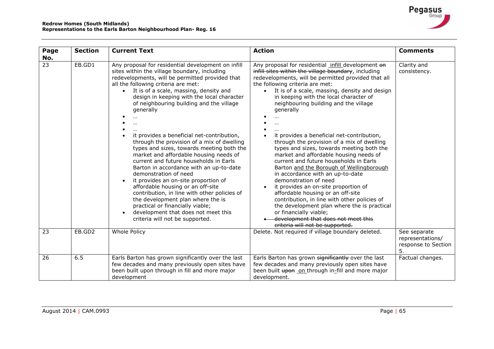| Page            | <b>Section</b> | <b>Current Text</b>                                                                                                                                                                                                                                                                                                                                                                                                                                                                                                                                                                                                                                                                                                                                                                                                                                                                                                                         | <b>Action</b>                                                                                                                                                                                                                                                                                                                                                                                                                                                                                                                                                                                                                                                                                                                                                                                                                                                                                                                                                                           | <b>Comments</b>                                               |
|-----------------|----------------|---------------------------------------------------------------------------------------------------------------------------------------------------------------------------------------------------------------------------------------------------------------------------------------------------------------------------------------------------------------------------------------------------------------------------------------------------------------------------------------------------------------------------------------------------------------------------------------------------------------------------------------------------------------------------------------------------------------------------------------------------------------------------------------------------------------------------------------------------------------------------------------------------------------------------------------------|-----------------------------------------------------------------------------------------------------------------------------------------------------------------------------------------------------------------------------------------------------------------------------------------------------------------------------------------------------------------------------------------------------------------------------------------------------------------------------------------------------------------------------------------------------------------------------------------------------------------------------------------------------------------------------------------------------------------------------------------------------------------------------------------------------------------------------------------------------------------------------------------------------------------------------------------------------------------------------------------|---------------------------------------------------------------|
| No.             |                |                                                                                                                                                                                                                                                                                                                                                                                                                                                                                                                                                                                                                                                                                                                                                                                                                                                                                                                                             |                                                                                                                                                                                                                                                                                                                                                                                                                                                                                                                                                                                                                                                                                                                                                                                                                                                                                                                                                                                         |                                                               |
| $\overline{23}$ | EB.GD1         | Any proposal for residential development on infill<br>sites within the village boundary, including<br>redevelopments, will be permitted provided that<br>all the following criteria are met:<br>It is of a scale, massing, density and<br>$\bullet$<br>design in keeping with the local character<br>of neighbouring building and the village<br>generally<br>it provides a beneficial net-contribution,<br>through the provision of a mix of dwelling<br>types and sizes, towards meeting both the<br>market and affordable housing needs of<br>current and future households in Earls<br>Barton in accordance with an up-to-date<br>demonstration of need<br>it provides an on-site proportion of<br>affordable housing or an off-site<br>contribution, in line with other policies of<br>the development plan where the is<br>practical or financially viable;<br>development that does not meet this<br>criteria will not be supported. | Any proposal for residential infill development on<br>infill sites within the village boundary, including<br>redevelopments, will be permitted provided that all<br>the following criteria are met:<br>It is of a scale, massing, density and design<br>$\bullet$<br>in keeping with the local character of<br>neighbouring building and the village<br>generally<br>it provides a beneficial net-contribution,<br>through the provision of a mix of dwelling<br>types and sizes, towards meeting both the<br>market and affordable housing needs of<br>current and future households in Earls<br>Barton and the Borough of Wellingborough<br>in accordance with an up-to-date<br>demonstration of need<br>it provides an on-site proportion of<br>affordable housing or an off-site<br>contribution, in line with other policies of<br>the development plan where the is practical<br>or financially viable;<br>development that does not meet this<br>criteria will not be supported. | Clarity and<br>consistency.                                   |
| 23              | EB.GD2         | Whole Policy                                                                                                                                                                                                                                                                                                                                                                                                                                                                                                                                                                                                                                                                                                                                                                                                                                                                                                                                | Delete. Not required if village boundary deleted.                                                                                                                                                                                                                                                                                                                                                                                                                                                                                                                                                                                                                                                                                                                                                                                                                                                                                                                                       | See separate<br>representations/<br>response to Section<br>5. |
| 26              | 6.5            | Earls Barton has grown significantly over the last<br>few decades and many previously open sites have<br>been built upon through in fill and more major<br>development                                                                                                                                                                                                                                                                                                                                                                                                                                                                                                                                                                                                                                                                                                                                                                      | Earls Barton has grown significantly over the last<br>few decades and many previously open sites have<br>been built upon on through in-fill and more major<br>development.                                                                                                                                                                                                                                                                                                                                                                                                                                                                                                                                                                                                                                                                                                                                                                                                              | Factual changes.                                              |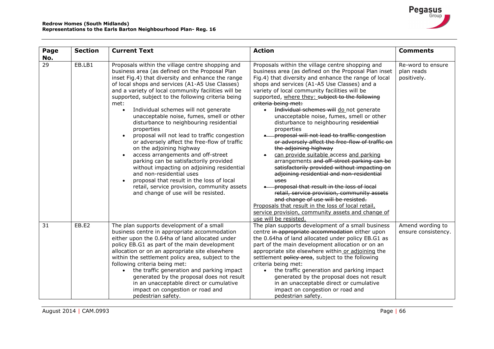| Page<br>No.     | <b>Section</b> | <b>Current Text</b>                                                                                                                                                                                                                                                                                                                                                                                                                                                                                                                                                                                                                                                                                                                                                                                                                                                                                                 | <b>Action</b>                                                                                                                                                                                                                                                                                                                                                                                                                                                                                                                                                                                                                                                                                                                                                                                                                                                                                                                                                                                                                                                                                                             | <b>Comments</b>                                |
|-----------------|----------------|---------------------------------------------------------------------------------------------------------------------------------------------------------------------------------------------------------------------------------------------------------------------------------------------------------------------------------------------------------------------------------------------------------------------------------------------------------------------------------------------------------------------------------------------------------------------------------------------------------------------------------------------------------------------------------------------------------------------------------------------------------------------------------------------------------------------------------------------------------------------------------------------------------------------|---------------------------------------------------------------------------------------------------------------------------------------------------------------------------------------------------------------------------------------------------------------------------------------------------------------------------------------------------------------------------------------------------------------------------------------------------------------------------------------------------------------------------------------------------------------------------------------------------------------------------------------------------------------------------------------------------------------------------------------------------------------------------------------------------------------------------------------------------------------------------------------------------------------------------------------------------------------------------------------------------------------------------------------------------------------------------------------------------------------------------|------------------------------------------------|
| $\overline{29}$ | EB.LB1         | Proposals within the village centre shopping and<br>business area (as defined on the Proposal Plan<br>inset Fig.4) that diversity and enhance the range<br>of local shops and services (A1-A5 Use Classes)<br>and a variety of local community facilities will be<br>supported, subject to the following criteria being<br>met:<br>Individual schemes will not generate<br>$\bullet$<br>unacceptable noise, fumes, smell or other<br>disturbance to neighbouring residential<br>properties<br>proposal will not lead to traffic congestion<br>or adversely affect the free-flow of traffic<br>on the adjoining highway<br>access arrangements and off-street<br>parking can be satisfactorily provided<br>without impacting on adjoining residential<br>and non-residential uses<br>proposal that result in the loss of local<br>retail, service provision, community assets<br>and change of use will be resisted. | Proposals within the village centre shopping and<br>business area (as defined on the Proposal Plan inset<br>Fig.4) that diversity and enhance the range of local<br>shops and services (A1-A5 Use Classes) and a<br>variety of local community facilities will be<br>supported, where they: subject to the following<br>criteria being met:<br>Individual schemes will do not generate<br>$\bullet$<br>unacceptable noise, fumes, smell or other<br>disturbance to neighbouring residential<br>properties<br>-proposal will not lead to traffic congestion<br>or adversely affect the free-flow of traffic on<br>the adjoining highway<br>can provide suitable access and parking<br>$\bullet$<br>arrangements and off-street parking can be<br>satisfactorily provided without impacting on<br>adjoining residential and non-residential<br>uses<br>-proposal that result in the loss of local<br>retail, service provision, community assets<br>and change of use will be resisted.<br>Proposals that result in the loss of local retail,<br>service provision, community assets and change of<br>use will be resisted. | Re-word to ensure<br>plan reads<br>positively. |
| 31              | EB.E2          | The plan supports development of a small<br>business centre in appropriate accommodation<br>either upon the 0.64ha of land allocated under<br>policy EB.G1 as part of the main development<br>allocation or on an appropriate site elsewhere<br>within the settlement policy area, subject to the<br>following criteria being met:<br>the traffic generation and parking impact<br>generated by the proposal does not result<br>in an unacceptable direct or cumulative<br>impact on congestion or road and<br>pedestrian safety.                                                                                                                                                                                                                                                                                                                                                                                   | The plan supports development of a small business<br>centre in appropriate accommodation either upon<br>the 0.64ha of land allocated under policy EB.G1 as<br>part of the main development allocation or on an<br>appropriate site elsewhere within or adjoining the<br>settlement policy area, subject to the following<br>criteria being met:<br>the traffic generation and parking impact<br>$\bullet$<br>generated by the proposal does not result<br>in an unacceptable direct or cumulative<br>impact on congestion or road and<br>pedestrian safety.                                                                                                                                                                                                                                                                                                                                                                                                                                                                                                                                                               | Amend wording to<br>ensure consistency.        |